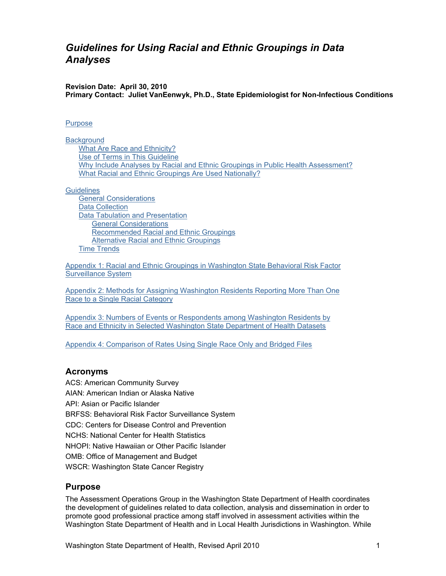# <span id="page-0-0"></span>*Guidelines for Using Racial and Ethnic Groupings in Data Analyses*

**Revision Date: April 30, 2010 Primary Contact: Juliet VanEenwyk, Ph.D., State Epidemiologist for Non-Infectious Conditions** 

#### **[Purpose](#page-0-0)**

**[Background](#page-1-0)** [What Are Race and Ethnicity?](#page-1-0) [Use of Terms in This Guideline](#page-1-0) [Why Include Analyses by Racial and Ethnic Groupings in Public Health Assessment?](#page-1-1) [What Racial and Ethnic Groupings Are Used Nationally?](#page-2-0)

**[Guidelines](#page-2-1)** 

[General Considerations](#page-2-1) [Data Collection](#page-3-0) [Data Tabulation and Presentation](#page-5-0) [General Considerations](#page-5-0) [Recommended Racial and Ethnic Groupings](#page-6-0) [Alternative Racial and Ethnic Groupings](#page-7-0) [Time Trends](#page-8-0)

[Appendix 1: Racial and Ethnic Groupings in Washington State Behavioral Risk Factor](#page-10-0)  [Surveillance System](#page-10-0)

[Appendix 2: Methods for Assigning Washington Residents Reporting More Than One](#page-19-0)  [Race to a Single Racial Category](#page-19-0)

[Appendix 3: Numbers of Events or Respondents among Washington Residents by](#page-24-0) [Race and Ethnicity in Selected Washington State Department of Health Datasets](#page-24-0)

[Appendix 4: Comparison of Rates Using Single Race Only and Bridged Files](#page-25-0)

## **Acronyms**

ACS: American Community Survey AIAN: American Indian or Alaska Native API: Asian or Pacific Islander BRFSS: Behavioral Risk Factor Surveillance System CDC: Centers for Disease Control and Prevention NCHS: National Center for Health Statistics NHOPI: Native Hawaiian or Other Pacific Islander OMB: Office of Management and Budget WSCR: Washington State Cancer Registry

#### **Purpose**

The Assessment Operations Group in the Washington State Department of Health coordinates the development of guidelines related to data collection, analysis and dissemination in order to promote good professional practice among staff involved in assessment activities within the Washington State Department of Health and in Local Health Jurisdictions in Washington. While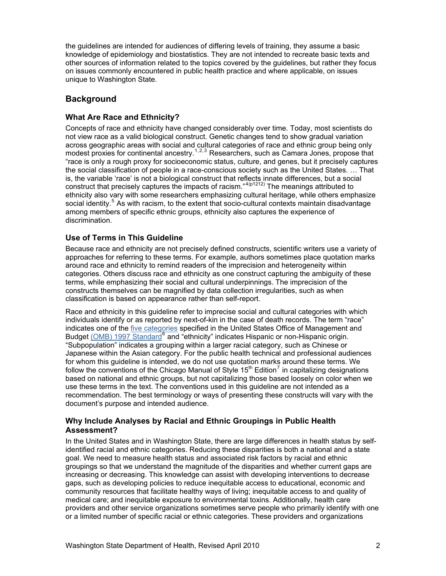<span id="page-1-1"></span><span id="page-1-0"></span>the guidelines are intended for audiences of differing levels of training, they assume a basic knowledge of epidemiology and biostatistics. They are not intended to recreate basic texts and other sources of information related to the topics covered by the guidelines, but rather they focus on issues commonly encountered in public health practice and where applicable, on issues unique to Washington State.

# **Background**

## **What Are Race and Ethnicity?**

Concepts of race and ethnicity have changed considerably over time. Today, most scientists do not view race as a valid biological construct. Genetic changes tend to show gradual variation across geographic areas with social and cultural categories of race and ethnic group being only modest proxies for continental ancestry.<sup>[1](#page-28-0),[2](#page-28-1),[3](#page-28-1)</sup> Researchers, such as Camara Jones, propose that "race is only a rough proxy for socioeconomic status, culture, and genes, but it precisely captures the social classification of people in a race-conscious society such as the United States. … That is, the variable 'race' is not a biological construct that reflects innate differences, but a social construct that precisely captures the impacts of racism."<sup>[4](#page-28-1)(p1212)</sup> The meanings attributed to ethnicity also vary with some researchers emphasizing cultural heritage, while others emphasize social identity.<sup>[5](#page-28-1)</sup> As with racism, to the extent that socio-cultural contexts maintain disadvantage among members of specific ethnic groups, ethnicity also captures the experience of discrimination.

## **Use of Terms in This Guideline**

Because race and ethnicity are not precisely defined constructs, scientific writers use a variety of approaches for referring to these terms. For example, authors sometimes place quotation marks around race and ethnicity to remind readers of the imprecision and heterogeneity within categories. Others discuss race and ethnicity as one construct capturing the ambiguity of these terms, while emphasizing their social and cultural underpinnings. The imprecision of the constructs themselves can be magnified by data collection irregularities, such as when classification is based on appearance rather than self-report.

<span id="page-1-2"></span>Race and ethnicity in this guideline refer to imprecise social and cultural categories with which individuals identify or as reported by next-of-kin in the case of death records. The term "race" indicates one of the [five categories](#page-2-0) specified in the United States Office of Management and Budget [\(OMB\) 1997 Standard](https://obamawhitehouse.archives.gov/omb/fedreg_1997standards)<sup>[6](#page-28-1)</sup> and "ethnicity" indicates Hispanic or non-Hispanic origin. "Subpopulation" indicates a grouping within a larger racial category, such as Chinese or Japanese within the Asian category. For the public health technical and professional audiences for whom this guideline is intended, we do not use quotation marks around these terms. We follow the conventions of the Chicago Manual of Style 15<sup>th</sup> Edition<sup>[7](#page-28-1)</sup> in capitalizing designations based on national and ethnic groups, but not capitalizing those based loosely on color when we use these terms in the text. The conventions used in this guideline are not intended as a recommendation. The best terminology or ways of presenting these constructs will vary with the document's purpose and intended audience.

## **Why Include Analyses by Racial and Ethnic Groupings in Public Health Assessment?**

In the United States and in Washington State, there are large differences in health status by selfidentified racial and ethnic categories. Reducing these disparities is both a national and a state goal. We need to measure health status and associated risk factors by racial and ethnic groupings so that we understand the magnitude of the disparities and whether current gaps are increasing or decreasing. This knowledge can assist with developing interventions to decrease gaps, such as developing policies to reduce inequitable access to educational, economic and community resources that facilitate healthy ways of living; inequitable access to and quality of medical care; and inequitable exposure to environmental toxins. Additionally, health care providers and other service organizations sometimes serve people who primarily identify with one or a limited number of specific racial or ethnic categories. These providers and organizations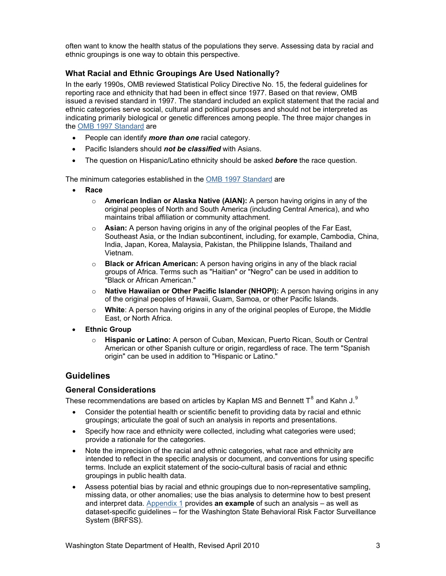<span id="page-2-1"></span><span id="page-2-0"></span>often want to know the health status of the populations they serve. Assessing data by racial and ethnic groupings is one way to obtain this perspective.

## **What Racial and Ethnic Groupings Are Used Nationally?**

In the early 1990s, OMB reviewed Statistical Policy Directive No. 15, the federal guidelines for reporting race and ethnicity that had been in effect since 1977. Based on that review, OMB issued a revised standard in 1997. The standard included an explicit statement that the racial and ethnic categories serve social, cultural and political purposes and should not be interpreted as indicating primarily biological or genetic differences among people. The three major changes in the [OMB 1997 Standard](https://obamawhitehouse.archives.gov/omb/fedreg_1997standards) are

- People can identify *more than one* racial category.
- Pacific Islanders should *not be classified* with Asians.
- The question on Hispanic/Latino ethnicity should be asked *before* the race question.

The minimum categories established in the [OMB 1997 Standard](https://obamawhitehouse.archives.gov/omb/fedreg_1997standards) are

- **Race**
	- o **American Indian or Alaska Native (AIAN):** A person having origins in any of the original peoples of North and South America (including Central America), and who maintains tribal affiliation or community attachment.
	- o **Asian:** A person having origins in any of the original peoples of the Far East, Southeast Asia, or the Indian subcontinent, including, for example, Cambodia, China, India, Japan, Korea, Malaysia, Pakistan, the Philippine Islands, Thailand and Vietnam.
	- o **Black or African American:** A person having origins in any of the black racial groups of Africa. Terms such as "Haitian" or "Negro" can be used in addition to "Black or African American."
	- o **Native Hawaiian or Other Pacific Islander (NHOPI):** A person having origins in any of the original peoples of Hawaii, Guam, Samoa, or other Pacific Islands.
	- o **White**: A person having origins in any of the original peoples of Europe, the Middle East, or North Africa.
- **Ethnic Group**
	- o **Hispanic or Latino:** A person of Cuban, Mexican, Puerto Rican, South or Central American or other Spanish culture or origin, regardless of race. The term "Spanish origin" can be used in addition to "Hispanic or Latino."

## **Guidelines**

#### **General Considerations**

These recommendations are based on articles by Kaplan MS and Bennett T<sup>[8](#page-28-1)</sup> and Kahn J.<sup>[9](#page-28-1)</sup>

- Consider the potential health or scientific benefit to providing data by racial and ethnic groupings; articulate the goal of such an analysis in reports and presentations.
- Specify how race and ethnicity were collected, including what categories were used; provide a rationale for the categories.
- Note the imprecision of the racial and ethnic categories, what race and ethnicity are intended to reflect in the specific analysis or document, and conventions for using specific terms. Include an explicit statement of the socio-cultural basis of racial and ethnic groupings in public health data.
- Assess potential bias by racial and ethnic groupings due to non-representative sampling, missing data, or other anomalies; use the bias analysis to determine how to best present and interpret data. [Appendix 1](#page-10-0) provides **an example** of such an analysis – as well as dataset-specific guidelines – for the Washington State Behavioral Risk Factor Surveillance System (BRFSS).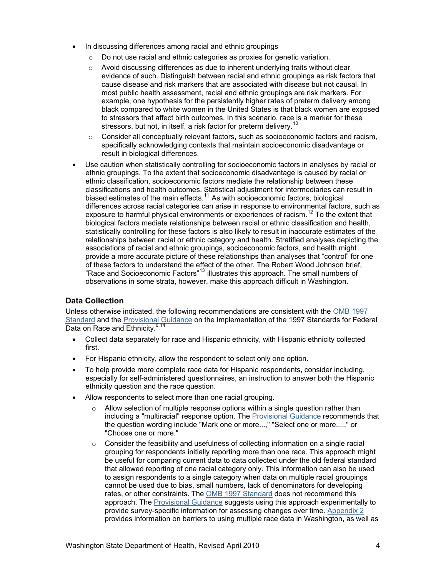- <span id="page-3-0"></span>In discussing differences among racial and ethnic groupings
	- o Do not use racial and ethnic categories as proxies for genetic variation.
	- o Avoid discussing differences as due to inherent underlying traits without clear evidence of such. Distinguish between racial and ethnic groupings as risk factors that cause disease and risk markers that are associated with disease but not causal. In most public health assessment, racial and ethnic groupings are risk markers. For example, one hypothesis for the persistently higher rates of preterm delivery among black compared to white women in the United States is that black women are exposed to stressors that affect birth outcomes. In this scenario, race is a marker for these stressors, but not, in itself, a risk factor for preterm delivery.<sup>[10](#page-28-1)</sup>
	- $\circ$  Consider all conceptually relevant factors, such as socioeconomic factors and racism, specifically acknowledging contexts that maintain socioeconomic disadvantage or result in biological differences.
- Use caution when statistically controlling for socioeconomic factors in analyses by racial or ethnic groupings. To the extent that socioeconomic disadvantage is caused by racial or ethnic classification, socioeconomic factors mediate the relationship between these classifications and health outcomes. Statistical adjustment for intermediaries can result in biased estimates of the main effects.<sup>[11](#page-28-1)</sup> As with socioeconomic factors, biological differences across racial categories can arise in response to environmental factors, such as exposure to harmful physical environments or experiences of racism.<sup>[12](#page-28-1)</sup> To the extent that biological factors mediate relationships between racial or ethnic classification and health, statistically controlling for these factors is also likely to result in inaccurate estimates of the relationships between racial or ethnic category and health. Stratified analyses depicting the associations of racial and ethnic groupings, socioeconomic factors, and health might provide a more accurate picture of these relationships than analyses that "control" for one of these factors to understand the effect of the other. The Robert Wood Johnson brief, "Race and Socioeconomic Factors"[13](#page-28-1) illustrates this approach. The small numbers of observations in some strata, however, make this approach difficult in Washington.

## **Data Collection**

<span id="page-3-1"></span>Unless otherwise indicated, the following recommendations are consistent with the [OMB 1997](https://obamawhitehouse.archives.gov/omb/fedreg_1997standards)  [Standard](https://obamawhitehouse.archives.gov/omb/fedreg_1997standards) and the [Provisional Guidance](https://www.whitehouse.gov/wp-content/uploads/2017/11/Provisional-Guidance-jan16-2001-1.pdf) on the Implementation of the 1997 Standards for Federal Data on Race and Ethnicity.<sup>[6,](#page-1-2)[14](#page-28-1)</sup>

- Collect data separately for race and Hispanic ethnicity, with Hispanic ethnicity collected first.
- For Hispanic ethnicity, allow the respondent to select only one option.
- To help provide more complete race data for Hispanic respondents, consider including, especially for self-administered questionnaires, an instruction to answer both the Hispanic ethnicity question and the race question.
- Allow respondents to select more than one racial grouping.
	- $\circ$  Allow selection of multiple response options within a single question rather than including a "multiracial" response option. The [Provisional Guidance](https://www.whitehouse.gov/wp-content/uploads/2017/11/Provisional-Guidance-jan16-2001-1.pdf) recommends that the question wording include "Mark one or more...," "Select one or more....," or "Choose one or more."
	- $\circ$  Consider the feasibility and usefulness of collecting information on a single racial grouping for respondents initially reporting more than one race. This approach might be useful for comparing current data to data collected under the old federal standard that allowed reporting of one racial category only. This information can also be used to assign respondents to a single category when data on multiple racial groupings cannot be used due to bias, small numbers, lack of denominators for developing rates, or other constraints. The [OMB 1997 Standard](https://obamawhitehouse.archives.gov/omb/fedreg_1997standards) does not recommend this approach. The [Provisional Guidance](https://www.whitehouse.gov/wp-content/uploads/2017/11/Provisional-Guidance-jan16-2001-1.pdf) suggests using this approach experimentally to provide survey-specific information for assessing changes over time. [Appendix 2](#page-19-0) provides information on barriers to using multiple race data in Washington, as well as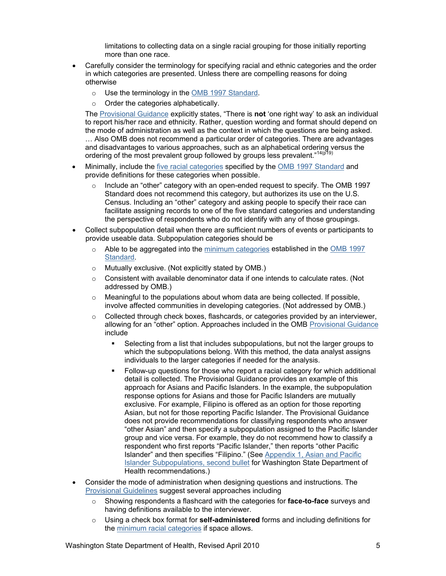limitations to collecting data on a single racial grouping for those initially reporting more than one race.

- Carefully consider the terminology for specifying racial and ethnic categories and the order in which categories are presented. Unless there are compelling reasons for doing otherwise
	- o Use the terminology in the [OMB 1997 Standard.](https://obamawhitehouse.archives.gov/omb/fedreg_1997standards)
	- o Order the categories alphabetically.

The [Provisional Guidance](https://www.whitehouse.gov/wp-content/uploads/2017/11/Provisional-Guidance-jan16-2001-1.pdf) explicitly states, "There is **not** 'one right way' to ask an individual to report his/her race and ethnicity. Rather, question wording and format should depend on the mode of administration as well as the context in which the questions are being asked. … Also OMB does not recommend a particular order of categories. There are advantages and disadvantages to various approaches, such as an alphabetical ordering versus the ordering of the most prevalent group followed by groups less prevalent."<sup>[14](#page-3-1)(p19</sup>)

- Minimally, include the [five racial categories](#page-2-0) specified by the [OMB 1997 Standard](https://obamawhitehouse.archives.gov/omb/fedreg_1997standards) and provide definitions for these categories when possible.
	- $\circ$  Include an "other" category with an open-ended request to specify. The OMB 1997 Standard does not recommend this category, but authorizes its use on the U.S. Census. Including an "other" category and asking people to specify their race can facilitate assigning records to one of the five standard categories and understanding the perspective of respondents who do not identify with any of those groupings.
- Collect subpopulation detail when there are sufficient numbers of events or participants to provide useable data. Subpopulation categories should be
	- o Able to be aggregated into the minimum [categories](#page-2-0) established in the [OMB 1997](https://obamawhitehouse.archives.gov/omb/fedreg_1997standards)  [Standard.](https://obamawhitehouse.archives.gov/omb/fedreg_1997standards)
	- o Mutually exclusive. (Not explicitly stated by OMB.)
	- $\circ$  Consistent with available denominator data if one intends to calculate rates. (Not addressed by OMB.)
	- $\circ$  Meaningful to the populations about whom data are being collected. If possible, involve affected communities in developing categories. (Not addressed by OMB.)
	- $\circ$  Collected through check boxes, flashcards, or categories provided by an interviewer, allowing for an "other" option. Approaches included in the OMB [Provisional Guidance](https://www.whitehouse.gov/wp-content/uploads/2017/11/Provisional-Guidance-jan16-2001-1.pdf) include
		- Selecting from a list that includes subpopulations, but not the larger groups to which the subpopulations belong. With this method, the data analyst assigns individuals to the larger categories if needed for the analysis.
		- Follow-up questions for those who report a racial category for which additional detail is collected. The Provisional Guidance provides an example of this approach for Asians and Pacific Islanders. In the example, the subpopulation response options for Asians and those for Pacific Islanders are mutually exclusive. For example, Filipino is offered as an option for those reporting Asian, but not for those reporting Pacific Islander. The Provisional Guidance does not provide recommendations for classifying respondents who answer "other Asian" and then specify a subpopulation assigned to the Pacific Islander group and vice versa. For example, they do not recommend how to classify a respondent who first reports "Pacific Islander," then reports "other Pacific Islander" and then specifies "Filipino." (See [Appendix 1, Asian and Pacific](#page-16-0)  [Islander Subpopulations, second bullet](#page-16-0) for Washington State Department of Health recommendations.)
- Consider the mode of administration when designing questions and instructions. The [Provisional Guidelines](https://www.whitehouse.gov/wp-content/uploads/2017/11/Provisional-Guidance-jan16-2001-1.pdf) suggest several approaches including
	- o Showing respondents a flashcard with the categories for **face-to-face** surveys and having definitions available to the interviewer.
	- o Using a check box format for **self-administered** forms and including definitions for the [minimum racial categories](#page-2-0) if space allows.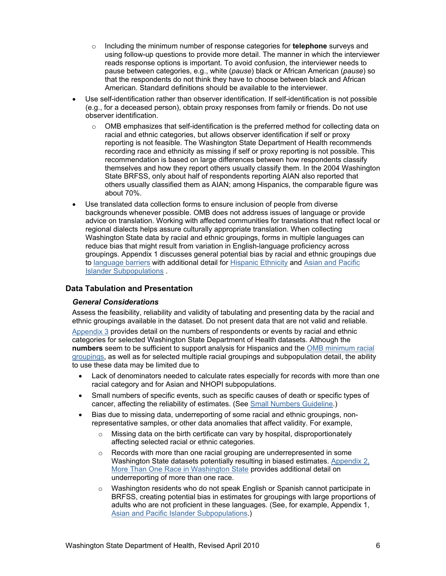- <span id="page-5-0"></span>o Including the minimum number of response categories for **telephone** surveys and using follow-up questions to provide more detail. The manner in which the interviewer reads response options is important. To avoid confusion, the interviewer needs to pause between categories, e.g., white (*pause*) black or African American (*pause*) so that the respondents do not think they have to choose between black and African American. Standard definitions should be available to the interviewer.
- Use self-identification rather than observer identification. If self-identification is not possible (e.g., for a deceased person), obtain proxy responses from family or friends. Do not use observer identification.
	- $\circ$  OMB emphasizes that self-identification is the preferred method for collecting data on racial and ethnic categories, but allows observer identification if self or proxy reporting is not feasible. The Washington State Department of Health recommends recording race and ethnicity as missing if self or proxy reporting is not possible. This recommendation is based on large differences between how respondents classify themselves and how they report others usually classify them. In the 2004 Washington State BRFSS, only about half of respondents reporting AIAN also reported that others usually classified them as AIAN; among Hispanics, the comparable figure was about 70%.
- Use translated data collection forms to ensure inclusion of people from diverse backgrounds whenever possible. OMB does not address issues of language or provide advice on translation. Working with affected communities for translations that reflect local or regional dialects helps assure culturally appropriate translation. When collecting Washington State data by racial and ethnic groupings, forms in multiple languages can reduce bias that might result from variation in English-language proficiency across groupings. Appendix 1 discusses general potential bias by racial and ethnic groupings due to [language barriers](#page-14-0) with additional detail for [Hispanic Ethnicity](#page-14-1) and [Asian and Pacific](#page-15-0)  [Islander Subpopulations](#page-15-0) .

#### **Data Tabulation and Presentation**

#### *General Considerations*

Assess the feasibility, reliability and validity of tabulating and presenting data by the racial and ethnic groupings available in the dataset. Do not present data that are not valid and reliable.

[Appendix 3](#page-24-0) provides detail on the numbers of respondents or events by racial and ethnic categories for selected Washington State Department of Health datasets. Although the **numbers** seem to be sufficient to support analysis for Hispanics and the [OMB minimum racial](#page-2-0)  [groupings,](#page-2-0) as well as for selected multiple racial groupings and subpopulation detail, the ability to use these data may be limited due to

- Lack of denominators needed to calculate rates especially for records with more than one racial category and for Asian and NHOPI subpopulations.
- Small numbers of specific events, such as specific causes of death or specific types of cancer, affecting the reliability of estimates. (See [Small Numbers Guideline.](http://www.doh.wa.gov/Portals/1/Documents/1500/SmallNumbers.pdf))
- Bias due to missing data, underreporting of some racial and ethnic groupings, nonrepresentative samples, or other data anomalies that affect validity. For example,
	- $\circ$  Missing data on the birth certificate can vary by hospital, disproportionately affecting selected racial or ethnic categories.
	- $\circ$  Records with more than one racial grouping are underrepresented in some Washington State datasets potentially resulting in biased estimates. [Appendix 2,](#page-19-0)  [More Than One Race in Washington State](#page-19-0) provides additional detail on underreporting of more than one race.
	- o Washington residents who do not speak English or Spanish cannot participate in BRFSS, creating potential bias in estimates for groupings with large proportions of adults who are not proficient in these languages. (See, for example, Appendix 1, [Asian and Pacific Islander Subpopulations.](#page-15-0))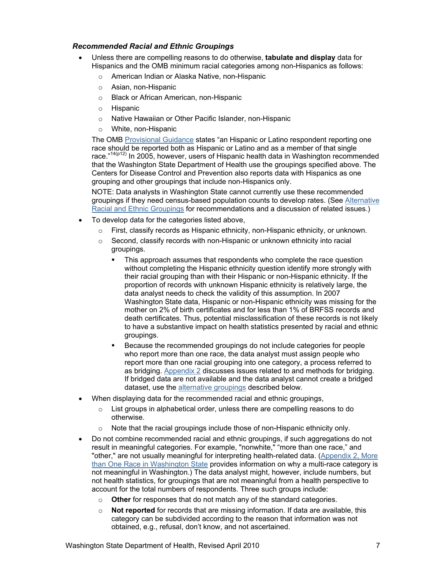### <span id="page-6-0"></span>*Recommended Racial and Ethnic Groupings*

- Unless there are compelling reasons to do otherwise, **tabulate and display** data for Hispanics and the OMB minimum racial categories among non-Hispanics as follows:
	- o American Indian or Alaska Native, non-Hispanic
	- o Asian, non-Hispanic
	- o Black or African American, non-Hispanic
	- o Hispanic
	- o Native Hawaiian or Other Pacific Islander, non-Hispanic
	- o White, non-Hispanic

The OMB [Provisional Guidance](https://www.whitehouse.gov/wp-content/uploads/2017/11/Provisional-Guidance-jan16-2001-1.pdf) states "an Hispanic or Latino respondent reporting one race should be reported both as Hispanic or Latino and as a member of that single race."<sup>[14\(](#page-3-1)p12)</sup> In 2005, however, users of Hispanic health data in Washington recommended that the Washington State Department of Health use the groupings specified above. The Centers for Disease Control and Prevention also reports data with Hispanics as one grouping and other groupings that include non-Hispanics only.

NOTE: Data analysts in Washington State cannot currently use these recommended groupings if they need census-based population counts to develop rates. (See Alternative [Racial and Ethnic Groupings](#page-7-0) for recommendations and a discussion of related issues.)

- To develop data for the categories listed above,
	- $\circ$  First, classify records as Hispanic ethnicity, non-Hispanic ethnicity, or unknown.
	- $\circ$  Second, classify records with non-Hispanic or unknown ethnicity into racial groupings.
		- This approach assumes that respondents who complete the race question without completing the Hispanic ethnicity question identify more strongly with their racial grouping than with their Hispanic or non-Hispanic ethnicity. If the proportion of records with unknown Hispanic ethnicity is relatively large, the data analyst needs to check the validity of this assumption. In 2007 Washington State data, Hispanic or non-Hispanic ethnicity was missing for the mother on 2% of birth certificates and for less than 1% of BRFSS records and death certificates. Thus, potential misclassification of these records is not likely to have a substantive impact on health statistics presented by racial and ethnic groupings.
		- Because the recommended groupings do not include categories for people who report more than one race, the data analyst must assign people who report more than one racial grouping into one category, a process referred to as bridging. [Appendix 2](#page-19-0) discusses issues related to and methods for bridging. If bridged data are not available and the data analyst cannot create a bridged dataset, use the [alternative groupings](#page-7-0) described below.
- When displaying data for the recommended racial and ethnic groupings,
	- $\circ$  List groups in alphabetical order, unless there are compelling reasons to do otherwise.
	- Note that the racial groupings include those of non-Hispanic ethnicity only.
- Do not combine recommended racial and ethnic groupings, if such aggregations do not result in meaningful categories. For example, "nonwhite," "more than one race," and "other," are not usually meaningful for interpreting health-related data. ([Appendix 2, More](#page-19-0)  [than One Race in Washington State](#page-19-0) provides information on why a multi-race category is not meaningful in Washington.) The data analyst might, however, include numbers, but not health statistics, for groupings that are not meaningful from a health perspective to account for the total numbers of respondents. Three such groups include:
	- o **Other** for responses that do not match any of the standard categories.
	- o **Not reported** for records that are missing information. If data are available, this category can be subdivided according to the reason that information was not obtained, e.g., refusal, don't know, and not ascertained.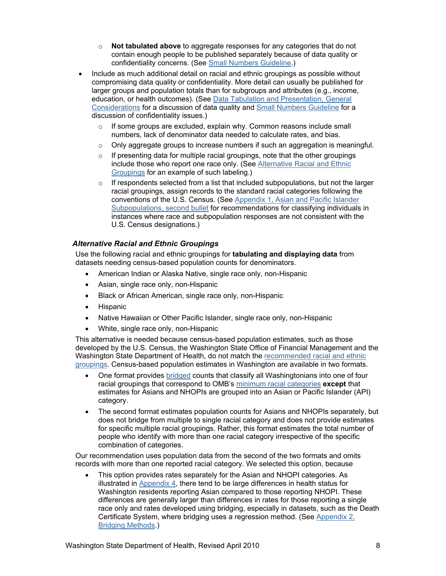- o **Not tabulated above** to aggregate responses for any categories that do not contain enough people to be published separately because of data quality or confidentiality concerns. (See [Small Numbers Guideline.](http://www.doh.wa.gov/Portals/1/Documents/1500/SmallNumbers.pdf))
- <span id="page-7-0"></span>• Include as much additional detail on racial and ethnic groupings as possible without compromising data quality or confidentiality. More detail can usually be published for larger groups and population totals than for subgroups and attributes (e.g., income, education, or health outcomes). (See [Data Tabulation and Presentation, General](#page-5-0)  [Considerations](#page-5-0) for a discussion of data quality and [Small Numbers Guideline](http://www.doh.wa.gov/Portals/1/Documents/1500/SmallNumbers.pdf) for a discussion of confidentiality issues.)
	- $\circ$  If some groups are excluded, explain why. Common reasons include small numbers, lack of denominator data needed to calculate rates, and bias.
	- $\circ$  Only aggregate groups to increase numbers if such an aggregation is meaningful.
	- o If presenting data for multiple racial groupings, note that the other groupings include those who report one race only. (See Alternative Racial and Ethnic Groupings for an example of such labeling.)
	- $\circ$  If respondents selected from a list that included subpopulations, but not the larger racial groupings, assign records to the standard racial categories following the conventions of the U.S. Census. (See [Appendix 1, Asian and Pacific Islander](#page-16-0)  [Subpopulations, second bullet](#page-16-0) for recommendations for classifying individuals in instances where race and subpopulation responses are not consistent with the U.S. Census designations.)

## *Alternative Racial and Ethnic Groupings*

Use the following racial and ethnic groupings for **tabulating and displaying data** from datasets needing census-based population counts for denominators.

- American Indian or Alaska Native, single race only, non-Hispanic
- Asian, single race only, non-Hispanic
- Black or African American, single race only, non-Hispanic
- **Hispanic**
- Native Hawaiian or Other Pacific Islander, single race only, non-Hispanic
- White, single race only, non-Hispanic

This alternative is needed because census-based population estimates, such as those developed by the U.S. Census, the Washington State Office of Financial Management and the Washington State Department of Health, do not match the [recommended racial and ethnic](#page-6-0)  [groupings](#page-6-0). Census-based population estimates in Washington are available in two formats.

- One format provides [bridged](#page-20-0) counts that classify all Washingtonians into one of four racial groupings that correspond to OMB's [minimum racial categories](#page-2-0) **except** that estimates for Asians and NHOPIs are grouped into an Asian or Pacific Islander (API) category.
- The second format estimates population counts for Asians and NHOPIs separately, but does not bridge from multiple to single racial category and does not provide estimates for specific multiple racial groupings. Rather, this format estimates the total number of people who identify with more than one racial category irrespective of the specific combination of categories.

Our recommendation uses population data from the second of the two formats and omits records with more than one reported racial category. We selected this option, because

• This option provides rates separately for the Asian and NHOPI categories. As illustrated in [Appendix 4](#page-25-0), there tend to be large differences in health status for Washington residents reporting Asian compared to those reporting NHOPI. These differences are generally larger than differences in rates for those reporting a single race only and rates developed using bridging, especially in datasets, such as the Death Certificate System, where bridging uses a regression method. (See [Appendix 2,](#page-20-0)  [Bridging Methods.](#page-20-0))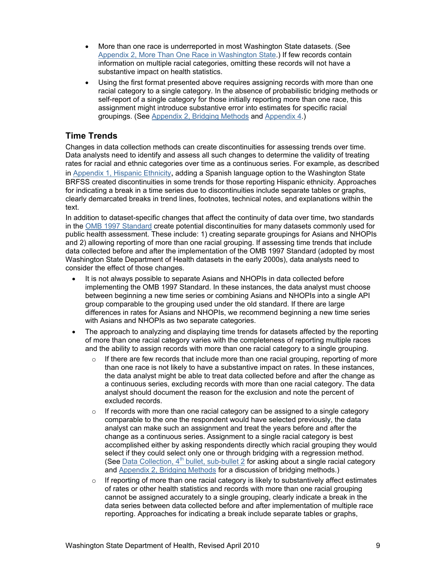- <span id="page-8-1"></span><span id="page-8-0"></span>• More than one race is underreported in most Washington State datasets. (See [Appendix 2, More Than One Race in Washington State](#page-19-0).) If few records contain information on multiple racial categories, omitting these records will not have a substantive impact on health statistics.
- Using the first format presented above requires assigning records with more than one racial category to a single category. In the absence of probabilistic bridging methods or self-report of a single category for those initially reporting more than one race, this assignment might introduce substantive error into estimates for specific racial groupings. (See [Appendix 2, Bridging Methods](#page-20-0) and [Appendix 4](#page-25-0).)

# **Time Trends**

Changes in data collection methods can create discontinuities for assessing trends over time. Data analysts need to identify and assess all such changes to determine the validity of treating rates for racial and ethnic categories over time as a continuous series. For example, as described in [Appendix 1, Hispanic Ethnicity](#page-14-1), adding a Spanish language option to the Washington State BRFSS created discontinuities in some trends for those reporting Hispanic ethnicity. Approaches for indicating a break in a time series due to discontinuities include separate tables or graphs, clearly demarcated breaks in trend lines, footnotes, technical notes, and explanations within the text.

In addition to dataset-specific changes that affect the continuity of data over time, two standards in the [OMB 1997 Standard](https://obamawhitehouse.archives.gov/omb/fedreg_1997standards) create potential discontinuities for many datasets commonly used for public health assessment. These include: 1) creating separate groupings for Asians and NHOPIs and 2) allowing reporting of more than one racial grouping. If assessing time trends that include data collected before and after the implementation of the OMB 1997 Standard (adopted by most Washington State Department of Health datasets in the early 2000s), data analysts need to consider the effect of those changes.

- It is not always possible to separate Asians and NHOPIs in data collected before implementing the OMB 1997 Standard. In these instances, the data analyst must choose between beginning a new time series or combining Asians and NHOPIs into a single API group comparable to the grouping used under the old standard. If there are large differences in rates for Asians and NHOPIs, we recommend beginning a new time series with Asians and NHOPIs as two separate categories.
- The approach to analyzing and displaying time trends for datasets affected by the reporting of more than one racial category varies with the completeness of reporting multiple races and the ability to assign records with more than one racial category to a single grouping.
	- $\circ$  If there are few records that include more than one racial grouping, reporting of more than one race is not likely to have a substantive impact on rates. In these instances, the data analyst might be able to treat data collected before and after the change as a continuous series, excluding records with more than one racial category. The data analyst should document the reason for the exclusion and note the percent of excluded records.
	- $\circ$  If records with more than one racial category can be assigned to a single category comparable to the one the respondent would have selected previously, the data analyst can make such an assignment and treat the years before and after the change as a continuous series. Assignment to a single racial category is best accomplished either by asking respondents directly which racial grouping they would select if they could select only one or through bridging with a regression method. (See Data Collection,  $4<sup>th</sup>$  bullet, sub-bullet 2 for asking about a single racial category and [Appendix 2, Bridging Methods](#page-20-0) for a discussion of bridging methods.)
	- $\circ$  If reporting of more than one racial category is likely to substantively affect estimates of rates or other health statistics and records with more than one racial grouping cannot be assigned accurately to a single grouping, clearly indicate a break in the data series between data collected before and after implementation of multiple race reporting. Approaches for indicating a break include separate tables or graphs,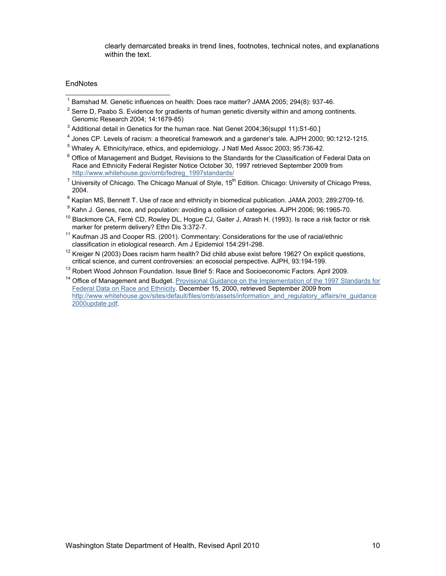clearly demarcated breaks in trend lines, footnotes, technical notes, and explanations within the text.

#### **EndNotes**

 $\overline{\phantom{a}}$ 

- <sup>1</sup> Bamshad M. Genetic influences on health: Does race matter? JAMA 2005; 294(8): 937-46.<br><sup>2</sup> Serra D. Rasha S. Evidence for gradients of human genetic diversity within and among cont
- $<sup>2</sup>$  Serre D, Paabo S. Evidence for gradients of human genetic diversity within and among continents.</sup> Genomic Research 2004; 14:1679-85)
- $^3$  Additional detail in Genetics for the human race. Nat Genet 2004;36(suppl 11):S1-60.]<br> $^4$  Janes CD J avale of raciam: a theoretical framework and a gardenaria tale. A IDH 3000
- <sup>4</sup> Jones CP. Levels of racism: a theoretical framework and a gardener's tale. AJPH 2000; 90:1212-1215.
- <sup>5</sup> Whaley A. Ethnicity/race, ethics, and epidemiology. J Natl Med Assoc 2003; 95:736-42.
- $6$  Office of Management and Budget. Revisions to the Standards for the Classification of Federal Data on Race and Ethnicity Federal Register Notice October 30, 1997 retrieved September 2009 from [http://www.whitehouse.gov/omb/fedreg\\_1997standards/](http://www.whitehouse.gov/omb/fedreg_1997standards/)
- <sup>7</sup> University of Chicago. The Chicago Manual of Style, 15<sup>th</sup> Edition. Chicago: University of Chicago Press, 2004.
- $^8$  Kaplan MS, Bennett T. Use of race and ethnicity in biomedical publication. JAMA 2003; 289:2709-16.<br><sup>9</sup> Kaba, L.Canes, rese, and pepulation: suciding a sollisian of estageries. A IBH 2006: 06:1965-70.
- <sup>9</sup> Kahn J. Genes, race, and population: avoiding a collision of categories. AJPH 2006; 96:1965-70.
- <sup>10</sup> [Blackmore CA,](http://www.ncbi.nlm.nih.gov/pubmed?term=%22Blackmore%20CA%22%5BAuthor%5D&itool=EntrezSystem2.PEntrez.Pubmed.Pubmed_ResultsPanel.Pubmed_RVAbstract) [Ferré CD,](http://www.ncbi.nlm.nih.gov/pubmed?term=%22Ferr%C3%A9%20CD%22%5BAuthor%5D&itool=EntrezSystem2.PEntrez.Pubmed.Pubmed_ResultsPanel.Pubmed_RVAbstract) [Rowley DL](http://www.ncbi.nlm.nih.gov/pubmed?term=%22Rowley%20DL%22%5BAuthor%5D&itool=EntrezSystem2.PEntrez.Pubmed.Pubmed_ResultsPanel.Pubmed_RVAbstract), [Hogue CJ](http://www.ncbi.nlm.nih.gov/pubmed?term=%22Hogue%20CJ%22%5BAuthor%5D&itool=EntrezSystem2.PEntrez.Pubmed.Pubmed_ResultsPanel.Pubmed_RVAbstract), [Gaiter J,](http://www.ncbi.nlm.nih.gov/pubmed?term=%22Gaiter%20J%22%5BAuthor%5D&itool=EntrezSystem2.PEntrez.Pubmed.Pubmed_ResultsPanel.Pubmed_RVAbstract) [Atrash H.](http://www.ncbi.nlm.nih.gov/pubmed?term=%22Atrash%20H%22%5BAuthor%5D&itool=EntrezSystem2.PEntrez.Pubmed.Pubmed_ResultsPanel.Pubmed_RVAbstract) (1993). Is race a risk factor or risk marker for preterm delivery? Ethn Dis 3:372-7.
- <sup>11</sup> Kaufman JS and Cooper RS. (2001). Commentary: Considerations for the use of racial/ethnic classification in etiological research. Am J Epidemiol 154:291-298.
- <sup>12</sup> Kreiger N (2003) Does racism harm health? Did child abuse exist before 1962? On explicit questions, critical science, and current controversies: an ecosocial perspective. AJPH, 93:194-199.
- 
- <sup>13</sup> Robert Wood Johnson Foundation. Issue Brief 5: Race and Socioeconomic Factors. April 2009.<br><sup>14</sup> Office of Management and Budget. Provisional Guidance on the Implementation of the 1997 Standards for [Federal Data on Race and Ethnicity](http://www.whitehouse.gov/sites/default/files/omb/assets/information_and_regulatory_affairs/re_guidance2000update.pdf). December 15, 2000, retrieved September 2009 from [http://www.whitehouse.gov/sites/default/files/omb/assets/information\\_and\\_regulatory\\_affairs/re\\_guidance](http://www.whitehouse.gov/sites/default/files/omb/assets/information_and_regulatory_affairs/re_guidance2000update.pdf) [2000update.pdf.](http://www.whitehouse.gov/sites/default/files/omb/assets/information_and_regulatory_affairs/re_guidance2000update.pdf)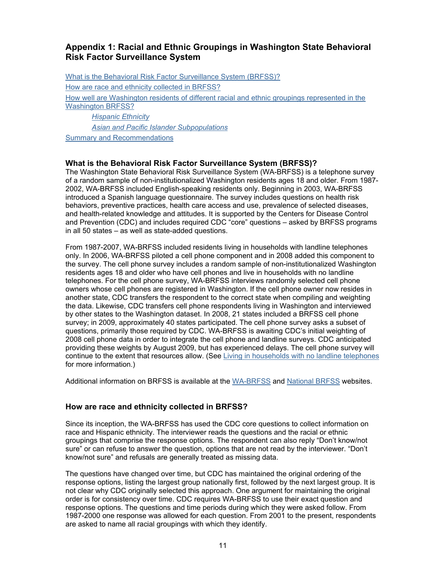# <span id="page-10-1"></span><span id="page-10-0"></span>**Appendix 1: Racial and Ethnic Groupings in Washington State Behavioral Risk Factor Surveillance System**

What is the Behavioral Risk Factor Surveillance System (BRFSS)? How are race and ethnicity collected in BRFSS? [How well are Washington residents of different racial and ethnic groupings represented in the](#page-12-0)  [Washington BRFSS?](#page-12-0) *[Hispanic Ethnicity](#page-14-1) [Asian and Pacific Islander Subpopulations](#page-15-0)*

[Summary and Recommendations](#page-17-0)

## **What is the Behavioral Risk Factor Surveillance System (BRFSS)?**

The Washington State Behavioral Risk Surveillance System (WA-BRFSS) is a telephone survey of a random sample of non-institutionalized Washington residents ages 18 and older. From 1987- 2002, WA-BRFSS included English-speaking residents only. Beginning in 2003, WA-BRFSS introduced a Spanish language questionnaire. The survey includes questions on health risk behaviors, preventive practices, health care access and use, prevalence of selected diseases, and health-related knowledge and attitudes. It is supported by the Centers for Disease Control and Prevention (CDC) and includes required CDC "core" questions – asked by BRFSS programs in all 50 states – as well as state-added questions.

From 1987-2007, WA-BRFSS included residents living in households with landline telephones only. In 2006, WA-BRFSS piloted a cell phone component and in 2008 added this component to the survey. The cell phone survey includes a random sample of non-institutionalized Washington residents ages 18 and older who have cell phones and live in households with no landline telephones. For the cell phone survey, WA-BRFSS interviews randomly selected cell phone owners whose cell phones are registered in Washington. If the cell phone owner now resides in another state, CDC transfers the respondent to the correct state when compiling and weighting the data. Likewise, CDC transfers cell phone respondents living in Washington and interviewed by other states to the Washington dataset. In 2008, 21 states included a BRFSS cell phone survey; in 2009, approximately 40 states participated. The cell phone survey asks a subset of questions, primarily those required by CDC. WA-BRFSS is awaiting CDC's initial weighting of 2008 cell phone data in order to integrate the cell phone and landline surveys. CDC anticipated providing these weights by August 2009, but has experienced delays. The cell phone survey will continue to the extent that resources allow. (See [Living in households with no landline telephones](#page-13-0) for more information.)

Additional information on BRFSS is available at the [WA-BRFSS](http://www.doh.wa.gov/DataandStatisticalReports/HealthBehaviors/BehavioralRiskFactorSurveillanceSystemBRFSS.aspx) and [National BRFSS](http://www.cdc.gov/brfss/) websites.

#### **How are race and ethnicity collected in BRFSS?**

Since its inception, the WA-BRFSS has used the CDC core questions to collect information on race and Hispanic ethnicity. The interviewer reads the questions and the racial or ethnic groupings that comprise the response options. The respondent can also reply "Don't know/not sure" or can refuse to answer the question, options that are not read by the interviewer. "Don't know/not sure" and refusals are generally treated as missing data.

The questions have changed over time, but CDC has maintained the original ordering of the response options, listing the largest group nationally first, followed by the next largest group. It is not clear why CDC originally selected this approach. One argument for maintaining the original order is for consistency over time. CDC requires WA-BRFSS to use their exact question and response options. The questions and time periods during which they were asked follow. From 1987-2000 one response was allowed for each question. From 2001 to the present, respondents are asked to name all racial groupings with which they identify.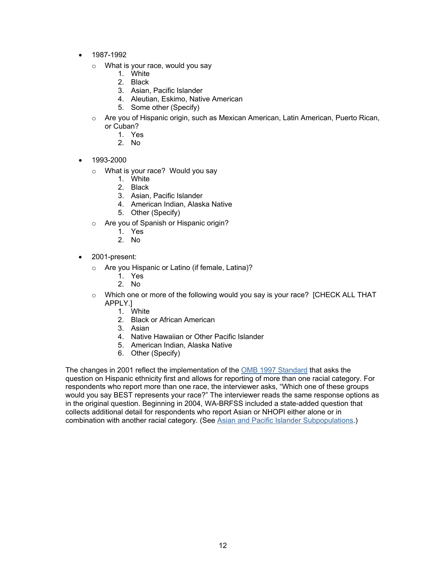- 1987-1992
	- o What is your race, would you say
		- 1. White
		- 2. Black
		- 3. Asian, Pacific Islander
		- 4. Aleutian, Eskimo, Native American
		- 5. Some other (Specify)
	- o Are you of Hispanic origin, such as Mexican American, Latin American, Puerto Rican, or Cuban?
		- 1. Yes
		- 2. No
- 1993-2000
	- o What is your race? Would you say
		- 1. White
		- 2. Black
		- 3. Asian, Pacific Islander
		- 4. American Indian, Alaska Native
		- 5. Other (Specify)
	- o Are you of Spanish or Hispanic origin?
		- 1. Yes
		- 2. No
- 2001-present:
	- o Are you Hispanic or Latino (if female, Latina)?
		- 1. Yes
		- 2. No
	- $\circ$  Which one or more of the following would you say is your race? [CHECK ALL THAT APPLY.]
		- 1. White
		- 2. Black or African American
		- 3. Asian
		- 4. Native Hawaiian or Other Pacific Islander
		- 5. American Indian, Alaska Native
		- 6. Other (Specify)

The changes in 2001 reflect the implementation of the [OMB 1997 Standard](https://obamawhitehouse.archives.gov/omb/fedreg_1997standards) that asks the question on Hispanic ethnicity first and allows for reporting of more than one racial category. For respondents who report more than one race, the interviewer asks, "Which one of these groups would you say BEST represents your race?" The interviewer reads the same response options as in the original question. Beginning in 2004, WA-BRFSS included a state-added question that collects additional detail for respondents who report Asian or NHOPI either alone or in combination with another racial category. (See [Asian and Pacific Islander Subpopulations.\)](#page-15-0)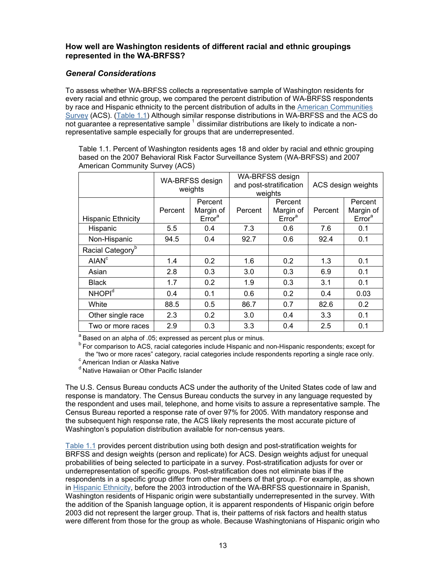## <span id="page-12-1"></span><span id="page-12-0"></span>**How well are Washington residents of different racial and ethnic groupings represented in the WA-BRFSS?**

## *General Considerations*

To assess whether WA-BRFSS collects a representative sample of Washington residents for every racial and ethnic group, we compared the percent distribution of WA-BRFSS respondents by race and Hispanic ethnicity to the percent distribution of adults in the [American Communities](https://www.census.gov/programs-surveys/acs/)  [Survey \(](https://www.census.gov/programs-surveys/acs/)ACS). (Table 1.1) Although similar response distributions in WA-BRFSS and the ACS do  $\overline{\text{not}}$  guarantee a representative sample  $^1$  $^1$  dissimilar distributions are likely to indicate a nonrepresentative sample especially for groups that are underrepresented.

Table 1.1. Percent of Washington residents ages 18 and older by racial and ethnic grouping based on the 2007 Behavioral Risk Factor Surveillance System (WA-BRFSS) and 2007 American Community Survey (ACS)

|                              |         | WA-BRFSS design<br>weights                 | WA-BRFSS design<br>and post-stratification<br>weights |                                            | ACS design weights |                                            |
|------------------------------|---------|--------------------------------------------|-------------------------------------------------------|--------------------------------------------|--------------------|--------------------------------------------|
| <b>Hispanic Ethnicity</b>    | Percent | Percent<br>Margin of<br>Error <sup>a</sup> | Percent                                               | Percent<br>Margin of<br>Error <sup>a</sup> | Percent            | Percent<br>Margin of<br>Error <sup>a</sup> |
| Hispanic                     | 5.5     | 0.4                                        | 7.3                                                   | 0.6                                        | 7.6                | 0.1                                        |
| Non-Hispanic                 | 94.5    | 0.4                                        | 92.7                                                  | 0.6                                        | 92.4               | 0.1                                        |
| Racial Category <sup>b</sup> |         |                                            |                                                       |                                            |                    |                                            |
| AIAN <sup>c</sup>            | 1.4     | 0.2                                        | 1.6                                                   | 0.2                                        | 1.3                | 0.1                                        |
| Asian                        | 2.8     | 0.3                                        | 3.0                                                   | 0.3                                        | 6.9                | 0.1                                        |
| <b>Black</b>                 | 1.7     | 0.2                                        | 1.9                                                   | 0.3                                        | 3.1                | 0.1                                        |
| NHOPI <sup>d</sup>           | 0.4     | 0.1                                        | 0.6                                                   | 0.2                                        | 0.4                | 0.03                                       |
| White                        | 88.5    | 0.5                                        | 86.7                                                  | 0.7                                        | 82.6               | 0.2                                        |
| Other single race            | 2.3     | 0.2                                        | 3.0                                                   | 0.4                                        | 3.3                | 0.1                                        |
| Two or more races            | 2.9     | 0.3                                        | 3.3                                                   | 0.4                                        | 2.5                | 0.1                                        |

<sup>a</sup> Based on an alpha of .05; expressed as percent plus or minus.

<sup>b</sup> For comparison to ACS, racial categories include Hispanic and non-Hispanic respondents; except for the "two or more races" category, racial categories include respondents reporting a single race only.<br><sup>c</sup> American Indian or Alaska Native

<sup>d</sup> Native Hawaiian or Other Pacific Islander

The U.S. Census Bureau conducts ACS under the authority of the United States code of law and response is mandatory. The Census Bureau conducts the survey in any language requested by the respondent and uses mail, telephone, and home visits to assure a representative sample. The Census Bureau reported a response rate of over 97% for 2005. With mandatory response and the subsequent high response rate, the ACS likely represents the most accurate picture of Washington's population distribution available for non-census years.

Table 1.1 provides percent distribution using both design and post-stratification weights for BRFSS and design weights (person and replicate) for ACS. Design weights adjust for unequal probabilities of being selected to participate in a survey. Post-stratification adjusts for over or underrepresentation of specific groups. Post-stratification does not eliminate bias if the respondents in a specific group differ from other members of that group. For example, as shown in [Hispanic Ethnicity,](#page-14-1) before the 2003 introduction of the WA-BRFSS questionnaire in Spanish, Washington residents of Hispanic origin were substantially underrepresented in the survey. With the addition of the Spanish language option, it is apparent respondents of Hispanic origin before 2003 did not represent the larger group. That is, their patterns of risk factors and health status were different from those for the group as whole. Because Washingtonians of Hispanic origin who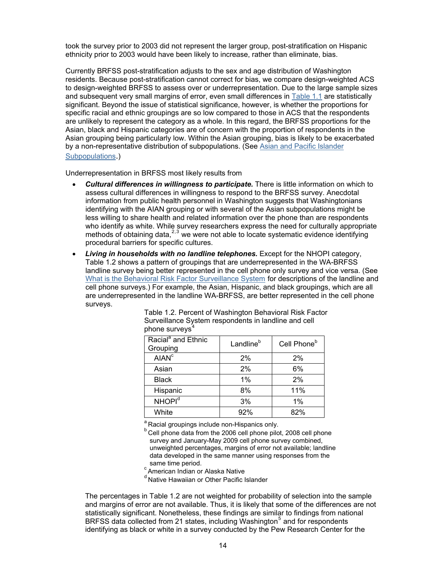<span id="page-13-2"></span><span id="page-13-0"></span>took the survey prior to 2003 did not represent the larger group, post-stratification on Hispanic ethnicity prior to 2003 would have been likely to increase, rather than eliminate, bias.

Currently BRFSS post-stratification adjusts to the sex and age distribution of Washington residents. Because post-stratification cannot correct for bias, we compare design-weighted ACS to design-weighted BRFSS to assess over or underrepresentation. Due to the large sample sizes and subsequent very small margins of error, even small differences in [Table 1.1](#page-12-1) are statistically significant. Beyond the issue of statistical significance, however, is whether the proportions for specific racial and ethnic groupings are so low compared to those in ACS that the respondents are unlikely to represent the category as a whole. In this regard, the BRFSS proportions for the Asian, black and Hispanic categories are of concern with the proportion of respondents in the Asian grouping being particularly low. Within the Asian grouping, bias is likely to be exacerbated by a non-representative distribution of subpopulations. (See [Asian and Pacific Islander](#page-15-0)  [Subpopulations.](#page-15-0))

Underrepresentation in BRFSS most likely results from

- *Cultural differences in willingness to participate.* There is little information on which to assess cultural differences in willingness to respond to the BRFSS survey. Anecdotal information from public health personnel in Washington suggests that Washingtonians identifying with the AIAN grouping or with several of the Asian subpopulations might be less willing to share health and related information over the phone than are respondents who identify as white. While survey researchers express the need for culturally appropriate methods of obtaining data, $2,3$  $2,3$  $2,3$  we were not able to locate systematic evidence identifying procedural barriers for specific cultures.
- <span id="page-13-1"></span>• *Living in households with no landline telephones.* Except for the NHOPI category, Table 1.2 shows a pattern of groupings that are underrepresented in the WA-BRFSS landline survey being better represented in the cell phone only survey and vice versa. (See [What is the Behavioral Risk Factor Surveillance System](#page-10-1) for descriptions of the landline and cell phone surveys.) For example, the Asian, Hispanic, and black groupings, which are all are underrepresented in the landline WA-BRFSS, are better represented in the cell phone surveys.

| privile our reye                           |                       |                         |
|--------------------------------------------|-----------------------|-------------------------|
| Racial <sup>a</sup> and Ethnic<br>Grouping | Landline <sup>b</sup> | Cell Phone <sup>b</sup> |
| <b>AIAN<sup>c</sup></b>                    | 2%                    | 2%                      |
| Asian                                      | 2%                    | 6%                      |
| <b>Black</b>                               | 1%                    | 2%                      |
| Hispanic                                   | 8%                    | 11%                     |
| NHOPI <sup>d</sup>                         | 3%                    | 1%                      |
| White                                      | 92%                   | 82%                     |

Table 1.2. Percent of Washington Behavioral Risk Factor Surveillance System respondents in landline and cell phone surveys

<sup>a</sup> Racial groupings include non-Hispanics only.

<sup>b</sup> Cell phone data from the 2006 cell phone pilot, 2008 cell phone survey and January-May 2009 cell phone survey combined, unweighted percentages, margins of error not available; landline data developed in the same manner using responses from the same time period.

c American Indian or Alaska Native

<sup>d</sup> Native Hawaiian or Other Pacific Islander

The percentages in Table 1.2 are not weighted for probability of selection into the sample and margins of error are not available. Thus, it is likely that some of the differences are not statistically significant. Nonetheless, these findings are similar to findings from national BRFSS data collected from 21 states, including Washington<sup>[5](#page-28-2)</sup> and for respondents identifying as black or white in a survey conducted by the Pew Research Center for the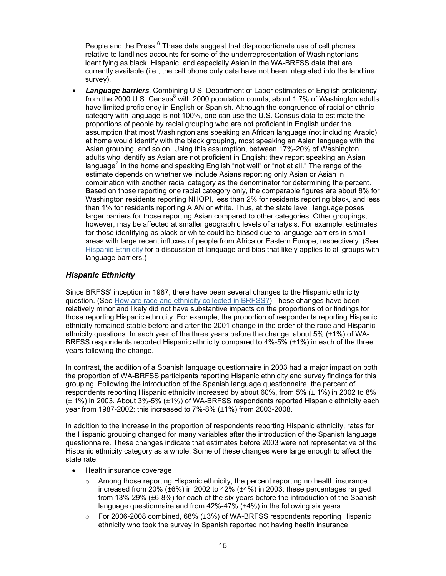<span id="page-14-1"></span><span id="page-14-0"></span>People and the Press.<sup>[6](#page-28-2)</sup> These data suggest that disproportionate use of cell phones relative to landlines accounts for some of the underrepresentation of Washingtonians identifying as black, Hispanic, and especially Asian in the WA-BRFSS data that are currently available (i.e., the cell phone only data have not been integrated into the landline survey).

• *Language barriers*. Combining U.S. Department of Labor estimates of English proficiency from the 2000 U.S. Census<sup>[8](#page-15-1)</sup> with 2000 population counts, about 1.7% of Washington adults have limited proficiency in English or Spanish. Although the congruence of racial or ethnic category with language is not 100%, one can use the U.S. Census data to estimate the proportions of people by racial grouping who are not proficient in English under the assumption that most Washingtonians speaking an African language (not including Arabic) at home would identify with the black grouping, most speaking an Asian language with the Asian grouping, and so on. Using this assumption, between 17%-20% of Washington adults who identify as Asian are not proficient in English: they report speaking an Asian language<sup>[7](#page-28-2)</sup> in the home and speaking English "not well" or "not at all." The range of the estimate depends on whether we include Asians reporting only Asian or Asian in combination with another racial category as the denominator for determining the percent. Based on those reporting one racial category only, the comparable figures are about 8% for Washington residents reporting NHOPI, less than 2% for residents reporting black, and less than 1% for residents reporting AIAN or white. Thus, at the state level, language poses larger barriers for those reporting Asian compared to other categories. Other groupings, however, may be affected at smaller geographic levels of analysis. For example, estimates for those identifying as black or white could be biased due to language barriers in small areas with large recent influxes of people from Africa or Eastern Europe, respectively. (See Hispanic Ethnicity for a discussion of language and bias that likely applies to all groups with language barriers.)

## *Hispanic Ethnicity*

Since BRFSS' inception in 1987, there have been several changes to the Hispanic ethnicity question. (See [How are race and ethnicity collected in BRFSS?\)](#page-10-1) These changes have been relatively minor and likely did not have substantive impacts on the proportions of or findings for those reporting Hispanic ethnicity. For example, the proportion of respondents reporting Hispanic ethnicity remained stable before and after the 2001 change in the order of the race and Hispanic ethnicity questions. In each year of the three years before the change, about 5% (±1%) of WA-BRFSS respondents reported Hispanic ethnicity compared to 4%-5% (±1%) in each of the three years following the change.

In contrast, the addition of a Spanish language questionnaire in 2003 had a major impact on both the proportion of WA-BRFSS participants reporting Hispanic ethnicity and survey findings for this grouping. Following the introduction of the Spanish language questionnaire, the percent of respondents reporting Hispanic ethnicity increased by about 60%, from 5% (± 1%) in 2002 to 8% (± 1%) in 2003. About 3%-5% (±1%) of WA-BRFSS respondents reported Hispanic ethnicity each year from 1987-2002; this increased to 7%-8% (±1%) from 2003-2008.

In addition to the increase in the proportion of respondents reporting Hispanic ethnicity, rates for the Hispanic grouping changed for many variables after the introduction of the Spanish language questionnaire. These changes indicate that estimates before 2003 were not representative of the Hispanic ethnicity category as a whole. Some of these changes were large enough to affect the state rate.

- Health insurance coverage
	- $\circ$  Among those reporting Hispanic ethnicity, the percent reporting no health insurance increased from 20% (±6%) in 2002 to 42% (±4%) in 2003; these percentages ranged from 13%-29% (±6-8%) for each of the six years before the introduction of the Spanish language questionnaire and from 42%-47% (±4%) in the following six years.
	- $\circ$  For 2006-2008 combined, 68% ( $\pm$ 3%) of WA-BRFSS respondents reporting Hispanic ethnicity who took the survey in Spanish reported not having health insurance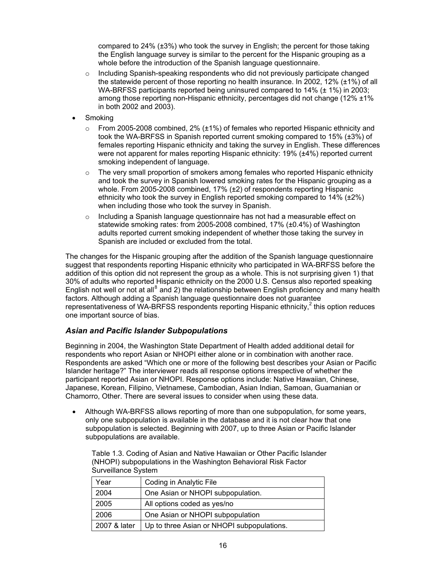<span id="page-15-0"></span>compared to 24% (±3%) who took the survey in English; the percent for those taking the English language survey is similar to the percent for the Hispanic grouping as a whole before the introduction of the Spanish language questionnaire.

- $\circ$  Including Spanish-speaking respondents who did not previously participate changed the statewide percent of those reporting no health insurance. In 2002, 12% (±1%) of all WA-BRFSS participants reported being uninsured compared to 14% (± 1%) in 2003; among those reporting non-Hispanic ethnicity, percentages did not change (12% ±1% in both 2002 and 2003).
- Smoking
	- From 2005-2008 combined,  $2\%$  ( $\pm$ 1%) of females who reported Hispanic ethnicity and took the WA-BRFSS in Spanish reported current smoking compared to 15% (±3%) of females reporting Hispanic ethnicity and taking the survey in English. These differences were not apparent for males reporting Hispanic ethnicity: 19% (±4%) reported current smoking independent of language.
	- $\circ$  The very small proportion of smokers among females who reported Hispanic ethnicity and took the survey in Spanish lowered smoking rates for the Hispanic grouping as a whole. From 2005-2008 combined, 17% (±2) of respondents reporting Hispanic ethnicity who took the survey in English reported smoking compared to 14% (±2%) when including those who took the survey in Spanish.
	- o Including a Spanish language questionnaire has not had a measurable effect on statewide smoking rates: from 2005-2008 combined, 17% (±0.4%) of Washington adults reported current smoking independent of whether those taking the survey in Spanish are included or excluded from the total.

<span id="page-15-1"></span>The changes for the Hispanic grouping after the addition of the Spanish language questionnaire suggest that respondents reporting Hispanic ethnicity who participated in WA-BRFSS before the addition of this option did not represent the group as a whole. This is not surprising given 1) that 30% of adults who reported Hispanic ethnicity on the 2000 U.S. Census also reported speaking English not well or not at all<sup>[8](#page-28-2)</sup> and 2) the relationship between English proficiency and many health factors. Although adding a Spanish language questionnaire does not guarantee representativeness of WA-BRFSS respondents reporting Hispanic ethnicity, $2$  this option reduces one important source of bias.

#### *Asian and Pacific Islander Subpopulations*

Beginning in 2004, the Washington State Department of Health added additional detail for respondents who report Asian or NHOPI either alone or in combination with another race. Respondents are asked "Which one or more of the following best describes your Asian or Pacific Islander heritage?" The interviewer reads all response options irrespective of whether the participant reported Asian or NHOPI. Response options include: Native Hawaiian, Chinese, Japanese, Korean, Filipino, Vietnamese, Cambodian, Asian Indian, Samoan, Guamanian or Chamorro, Other. There are several issues to consider when using these data.

• Although WA-BRFSS allows reporting of more than one subpopulation, for some years, only one subpopulation is available in the database and it is not clear how that one subpopulation is selected. Beginning with 2007, up to three Asian or Pacific Islander subpopulations are available.

Table 1.3. Coding of Asian and Native Hawaiian or Other Pacific Islander (NHOPI) subpopulations in the Washington Behavioral Risk Factor Surveillance System

| Year         | Coding in Analytic File                    |
|--------------|--------------------------------------------|
| 2004         | One Asian or NHOPI subpopulation.          |
| 2005         | All options coded as yes/no                |
| 2006         | One Asian or NHOPI subpopulation           |
| 2007 & later | Up to three Asian or NHOPI subpopulations. |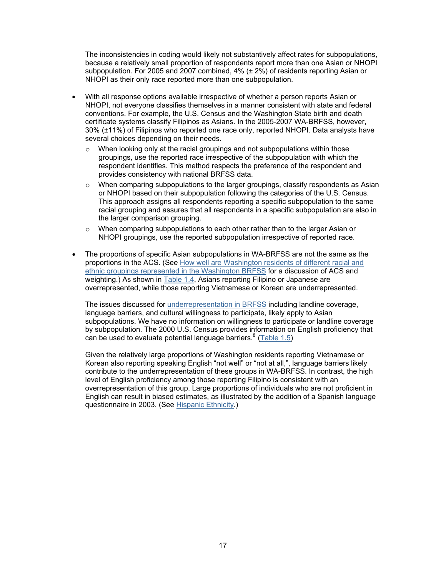<span id="page-16-0"></span>The inconsistencies in coding would likely not substantively affect rates for subpopulations, because a relatively small proportion of respondents report more than one Asian or NHOPI subpopulation. For 2005 and 2007 combined, 4% (± 2%) of residents reporting Asian or NHOPI as their only race reported more than one subpopulation.

- With all response options available irrespective of whether a person reports Asian or NHOPI, not everyone classifies themselves in a manner consistent with state and federal conventions. For example, the U.S. Census and the Washington State birth and death certificate systems classify Filipinos as Asians. In the 2005-2007 WA-BRFSS, however, 30% (±11%) of Filipinos who reported one race only, reported NHOPI. Data analysts have several choices depending on their needs.
	- o When looking only at the racial groupings and not subpopulations within those groupings, use the reported race irrespective of the subpopulation with which the respondent identifies. This method respects the preference of the respondent and provides consistency with national BRFSS data.
	- $\circ$  When comparing subpopulations to the larger groupings, classify respondents as Asian or NHOPI based on their subpopulation following the categories of the U.S. Census. This approach assigns all respondents reporting a specific subpopulation to the same racial grouping and assures that all respondents in a specific subpopulation are also in the larger comparison grouping.
	- o When comparing subpopulations to each other rather than to the larger Asian or NHOPI groupings, use the reported subpopulation irrespective of reported race.
- The proportions of specific Asian subpopulations in WA-BRFSS are not the same as the proportions in the ACS. (See [How well are Washington residents of different racial and](#page-12-0)  [ethnic groupings represented in the Washington BRFSS](#page-12-0) for a discussion of ACS and weighting.) As shown in [Table 1.4,](#page-17-1) Asians reporting Filipino or Japanese are overrepresented, while those reporting Vietnamese or Korean are underrepresented.

The issues discussed for [underrepresentation in BRFSS](#page-13-2) including landline coverage, language barriers, and cultural willingness to participate, likely apply to Asian subpopulations. We have no information on willingness to participate or landline coverage by subpopulation. The 2000 U.S. Census provides information on English proficiency that can be used to evaluate potential language barriers.<sup>8</sup> [\(Table 1.5\)](#page-17-0)

Given the relatively large proportions of Washington residents reporting Vietnamese or Korean also reporting speaking English "not well" or "not at all,", language barriers likely contribute to the underrepresentation of these groups in WA-BRFSS. In contrast, the high level of English proficiency among those reporting Filipino is consistent with an overrepresentation of this group. Large proportions of individuals who are not proficient in English can result in biased estimates, as illustrated by the addition of a Spanish language questionnaire in 2003. (See [Hispanic Ethnicity.](#page-14-1))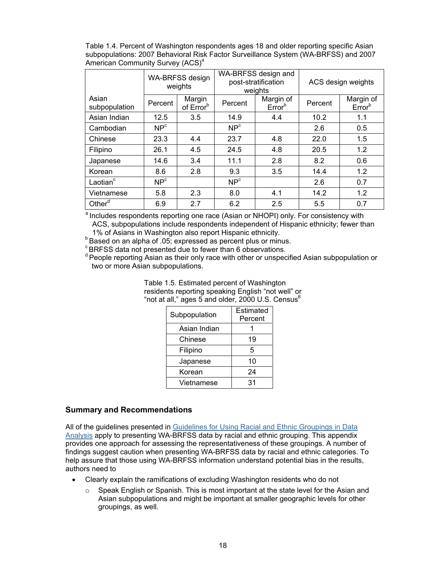<span id="page-17-1"></span><span id="page-17-0"></span>Table 1.4. Percent of Washington respondents ages 18 and older reporting specific Asian subpopulations: 2007 Behavioral Risk Factor Surveillance System (WA-BRFSS) and 2007 American Community Survey (ACS)<sup>a</sup>

|                        | <b>WA-BRFSS design</b><br>weights |                                 | WA-BRFSS design and<br>post-stratification<br>weights |                                 | ACS design weights |                                 |
|------------------------|-----------------------------------|---------------------------------|-------------------------------------------------------|---------------------------------|--------------------|---------------------------------|
| Asian<br>subpopulation | Percent                           | Margin<br>of Error <sup>b</sup> | Percent                                               | Margin of<br>Error <sup>b</sup> | Percent            | Margin of<br>Error <sup>b</sup> |
| Asian Indian           | 12.5                              | 3.5                             | 14.9                                                  | 4.4                             | 10.2               | 1.1                             |
| Cambodian              | NP <sup>c</sup>                   |                                 | NP <sup>c</sup>                                       |                                 | 2.6                | 0.5                             |
| Chinese                | 23.3                              | 4.4                             | 23.7                                                  | 4.8                             | 22.0               | 1.5                             |
| Filipino               | 26.1                              | 4.5                             | 24.5                                                  | 4.8                             | 20.5               | 1.2                             |
| Japanese               | 14.6                              | 3.4                             | 11.1                                                  | 2.8                             | 8.2                | 0.6                             |
| Korean                 | 8.6                               | 2.8                             | 9.3                                                   | 3.5                             | 14.4               | 1.2                             |
| Laotian <sup>c</sup>   | NP <sup>c</sup>                   |                                 | NP <sup>c</sup>                                       |                                 | 2.6                | 0.7                             |
| Vietnamese             | 5.8                               | 2.3                             | 8.0                                                   | 4.1                             | 14.2               | 1.2                             |
| Other <sup>d</sup>     | 6.9                               | 2.7                             | 6.2                                                   | 2.5                             | 5.5                | 0.7                             |

<sup>a</sup> Includes respondents reporting one race (Asian or NHOPI) only. For consistency with ACS, subpopulations include respondents independent of Hispanic ethnicity; fewer than

1% of Asians in Washington also report Hispanic ethnicity. b Based on an alpha of .05; expressed as percent plus or minus.

 $c$  BRFSS data not presented due to fewer than 6 observations.

<sup>d</sup> People reporting Asian as their only race with other or unspecified Asian subpopulation or two or more Asian subpopulations.

> Table 1.5. Estimated percent of Washington residents reporting speaking English "not well" o[r](#page-15-1)  "not at all," ages 5 and older, 2000 U.S. Census $^8$  $^8$

| Subpopulation | Estimated<br>Percent |
|---------------|----------------------|
| Asian Indian  |                      |
| Chinese       | 19                   |
| Filipino      | 5                    |
| Japanese      | 10                   |
| Korean        | 24                   |
| Vietnamese    | 31                   |

#### **Summary and Recommendations**

All of the guidelines presented in [Guidelines for Using Racial and Ethnic Groupings in Data](http://www.doh.wa.gov/Portals/1/Documents/1500/RaceEthnGuidelines.pdf)  [Analysis](http://www.doh.wa.gov/Portals/1/Documents/1500/RaceEthnGuidelines.pdf) apply to presenting WA-BRFSS data by racial and ethnic grouping. This appendix provides one approach for assessing the representativeness of these groupings. A number of findings suggest caution when presenting WA-BRFSS data by racial and ethnic categories. To help assure that those using WA-BRFSS information understand potential bias in the results, authors need to

- Clearly explain the ramifications of excluding Washington residents who do not
	- $\circ$  Speak English or Spanish. This is most important at the state level for the Asian and Asian subpopulations and might be important at smaller geographic levels for other groupings, as well.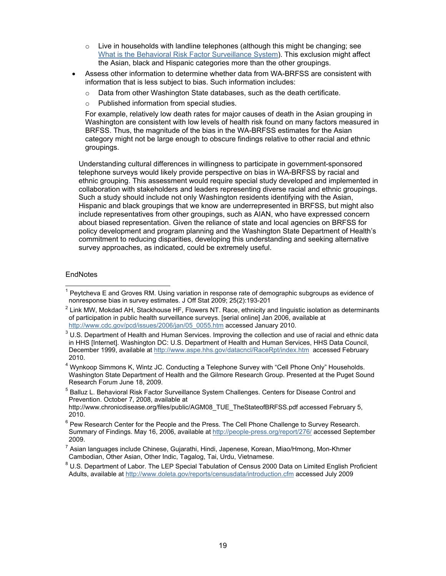- $\circ$  Live in households with landline telephones (although this might be changing; see [What is the Behavioral Risk Factor Surveillance System\)](#page-10-0). This exclusion might affect the Asian, black and Hispanic categories more than the other groupings.
- Assess other information to determine whether data from WA-BRFSS are consistent with information that is less subject to bias. Such information includes:
	- $\circ$  Data from other Washington State databases, such as the death certificate.
	- o Published information from special studies.

For example, relatively low death rates for major causes of death in the Asian grouping in Washington are consistent with low levels of health risk found on many factors measured in BRFSS. Thus, the magnitude of the bias in the WA-BRFSS estimates for the Asian category might not be large enough to obscure findings relative to other racial and ethnic groupings.

Understanding cultural differences in willingness to participate in government-sponsored telephone surveys would likely provide perspective on bias in WA-BRFSS by racial and ethnic grouping. This assessment would require special study developed and implemented in collaboration with stakeholders and leaders representing diverse racial and ethnic groupings. Such a study should include not only Washington residents identifying with the Asian, Hispanic and black groupings that we know are underrepresented in BRFSS, but might also include representatives from other groupings, such as AIAN, who have expressed concern about biased representation. Given the reliance of state and local agencies on BRFSS for policy development and program planning and the Washington State Department of Health's commitment to reducing disparities, developing this understanding and seeking alternative survey approaches, as indicated, could be extremely useful.

#### **EndNotes**

<sup>5</sup> Balluz L. Behavioral Risk Factor Surveillance System Challenges. Centers for Disease Control and Prevention. October 7, 2008, available at

 1 Peytcheva E and Groves RM. Using variation in response rate of demographic subgroups as evidence of

nonresponse bias in survey estimates. J Off Stat 2009; 25(2):193-201<br><sup>2</sup> Link MW, Mokdad AH, Stackhouse HF, Flowers NT. Race, ethnicity and linguistic isolation as determinants of participation in public health surveillance surveys. [serial online] Jan 2006, available at http://www.cdc.gov/pcd/issues/2006/jan/05 0055.htm accessed January 2010.

[http://www.cdc.gov/pcd/issues/2006/jan/05\\_0055.htm](http://www.cdc.gov/pcd/issues/2006/jan/05_0055.htm) accessed January 2010.<br><sup>3</sup> U.S. Department of Health and Human Services. Improving the collection and use of racial and ethnic data in HHS [Internet]. Washington DC: U.S. Department of Health and Human Services, HHS Data Council, December 1999, available at <http://www.aspe.hhs.gov/datacncl/RaceRpt/index.htm>accessed February 2010.

<sup>&</sup>lt;sup>4</sup> Wynkoop Simmons K, Wintz JC. Conducting a Telephone Survey with "Cell Phone Only" Households. Washington State Department of Health and the Gilmore Research Group. Presented at the Puget Sound Research Forum June 18, 2009.

http://www.chronicdisease.org/files/public/AGM08\_TUE\_TheStateofBRFSS.pdf accessed February 5, 2010.

 $<sup>6</sup>$  Pew Research Center for the People and the Press. The Cell Phone Challenge to Survey Research.</sup> Summary of Findings. May 16, 2006, available at<http://people-press.org/report/276/> accessed September 2009.

<sup>&</sup>lt;sup>7</sup> Asian languages include Chinese, Gujarathi, Hindi, Japenese, Korean, Miao/Hmong, Mon-Khmer Cambodian, Other Asian, Other Indic, Tagalog, Tai, Urdu, Vietnamese.

<sup>&</sup>lt;sup>8</sup> U.S. Department of Labor. The LEP Special Tabulation of Census 2000 Data on Limited English Proficient Adults, available at <http://www.doleta.gov/reports/censusdata/introduction.cfm>accessed July 2009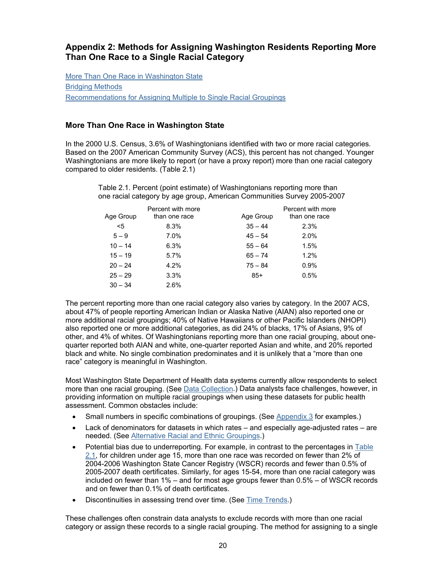# <span id="page-19-0"></span>**Appendix 2: Methods for Assigning Washington Residents Reporting More Than One Race to a Single Racial Category**

More Than One Race in Washington State [Bridging Methods](#page-20-0) [Recommendations for Assigning Multiple to Single Racial Groupings](#page-22-0)

## **More Than One Race in Washington State**

In the 2000 U.S. Census, 3.6% of Washingtonians identified with two or more racial categories. Based on the 2007 American Community Survey (ACS), this percent has not changed. Younger Washingtonians are more likely to report (or have a proxy report) more than one racial category compared to older residents. (Table 2.1)

|                   | $\sim$ . The state of the state of the state of the state of the state of the state of the state of the state of the state of the state of the state of the state of the state of the state of the state of the state of the st<br>one racial category by age group, American Communities Survey 2005-2007 |
|-------------------|------------------------------------------------------------------------------------------------------------------------------------------------------------------------------------------------------------------------------------------------------------------------------------------------------------|
| Percent with more | Percent with more                                                                                                                                                                                                                                                                                          |

Table 2.1. Percent (point estimate) of Washingtonians reporting more than

|           | Percent with more |           | Percent with more |
|-----------|-------------------|-----------|-------------------|
| Age Group | than one race     | Age Group | than one race     |
| $5$       | 8.3%              | $35 - 44$ | 2.3%              |
| $5 - 9$   | 7.0%              | $45 - 54$ | 2.0%              |
| $10 - 14$ | 6.3%              | $55 - 64$ | 1.5%              |
| $15 - 19$ | 5.7%              | $65 - 74$ | 1.2%              |
| $20 - 24$ | 4.2%              | $75 - 84$ | 0.9%              |
| $25 - 29$ | 3.3%              | $85+$     | 0.5%              |
| $30 - 34$ | 2.6%              |           |                   |
|           |                   |           |                   |

The percent reporting more than one racial category also varies by category. In the 2007 ACS, about 47% of people reporting American Indian or Alaska Native (AIAN) also reported one or more additional racial groupings; 40% of Native Hawaiians or other Pacific Islanders (NHOPI) also reported one or more additional categories, as did 24% of blacks, 17% of Asians, 9% of other, and 4% of whites. Of Washingtonians reporting more than one racial grouping, about onequarter reported both AIAN and white, one-quarter reported Asian and white, and 20% reported black and white. No single combination predominates and it is unlikely that a "more than one race" category is meaningful in Washington.

Most Washington State Department of Health data systems currently allow respondents to select more than one racial grouping. (See [Data Collection](#page-3-0).) Data analysts face challenges, however, in providing information on multiple racial groupings when using these datasets for public health assessment. Common obstacles include:

- Small numbers in specific combinations of groupings. (See [Appendix 3](#page-24-0) for examples.)
- Lack of denominators for datasets in which rates and especially age-adjusted rates are needed. (See [Alternative Racial and Ethnic Groupings.\)](#page-7-0)
- Potential bias due to underreporting. For example, in contrast to the percentages in Table 2.1, for children under age 15, more than one race was recorded on fewer than 2% of 2004-2006 Washington State Cancer Registry (WSCR) records and fewer than 0.5% of 2005-2007 death certificates. Similarly, for ages 15-54, more than one racial category was included on fewer than 1% – and for most age groups fewer than 0.5% – of WSCR records and on fewer than 0.1% of death certificates.
- Discontinuities in assessing trend over time. (See [Time Trends.](#page-8-1))

These challenges often constrain data analysts to exclude records with more than one racial category or assign these records to a single racial grouping. The method for assigning to a single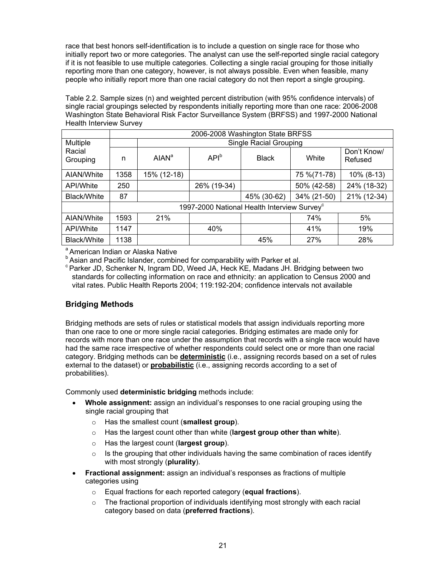<span id="page-20-1"></span><span id="page-20-0"></span>race that best honors self-identification is to include a question on single race for those who initially report two or more categories. The analyst can use the self-reported single racial category if it is not feasible to use multiple categories. Collecting a single racial grouping for those initially reporting more than one category, however, is not always possible. Even when feasible, many people who initially report more than one racial category do not then report a single grouping.

Table 2.2. Sample sizes (n) and weighted percent distribution (with 95% confidence intervals) of single racial groupings selected by respondents initially reporting more than one race: 2006-2008 Washington State Behavioral Risk Factor Surveillance System (BRFSS) and 1997-2000 National Health Interview Survey

|                    |      | 2006-2008 Washington State BRFSS |                                                         |              |              |                        |  |
|--------------------|------|----------------------------------|---------------------------------------------------------|--------------|--------------|------------------------|--|
| Multiple           |      |                                  | <b>Single Racial Grouping</b>                           |              |              |                        |  |
| Racial<br>Grouping | n    | AIAN <sup>a</sup>                | API <sup>b</sup>                                        | <b>Black</b> | White        | Don't Know/<br>Refused |  |
| AIAN/White         | 1358 | 15% (12-18)                      |                                                         |              | 75 % (71-78) | 10% (8-13)             |  |
| API/White          | 250  |                                  | 26% (19-34)                                             |              | 50% (42-58)  | 24% (18-32)            |  |
| Black/White        | 87   |                                  |                                                         | 45% (30-62)  | 34% (21-50)  | 21% (12-34)            |  |
|                    |      |                                  | 1997-2000 National Health Interview Survey <sup>c</sup> |              |              |                        |  |
| AIAN/White         | 1593 | 21%                              |                                                         |              | 74%          | 5%                     |  |
| API/White          | 1147 |                                  | 40%                                                     |              | 41%          | 19%                    |  |
| Black/White        | 1138 |                                  |                                                         | 45%          | 27%          | 28%                    |  |

a American Indian or Alaska Native

b Asian and Pacific Islander, combined for comparability with Parker et al.

<sup>c</sup> Parker JD, Schenker N, Ingram DD, Weed JA, Heck KE, Madans JH. Bridging between two standards for collecting information on race and ethnicity: an application to Census 2000 and vital rates. Public Health Reports 2004; 119:192-204; confidence intervals not available

## **Bridging Methods**

Bridging methods are sets of rules or statistical models that assign individuals reporting more than one race to one or more single racial categories. Bridging estimates are made only for records with more than one race under the assumption that records with a single race would have had the same race irrespective of whether respondents could select one or more than one racial category. Bridging methods can be **[deterministic](#page-20-1)** (i.e., assigning records based on a set of rules external to the dataset) or **[probabilistic](#page-21-0)** (i.e., assigning records according to a set of probabilities).

Commonly used **deterministic bridging** methods include:

- **Whole assignment:** assign an individual's responses to one racial grouping using the single racial grouping that
	- o Has the smallest count (**smallest group**).
	- o Has the largest count other than white (**largest group other than white**).
	- o Has the largest count (**largest group**).
	- $\circ$  Is the grouping that other individuals having the same combination of races identify with most strongly (**plurality**).
- **Fractional assignment:** assign an individual's responses as fractions of multiple categories using
	- o Equal fractions for each reported category (**equal fractions**).
	- $\circ$  The fractional proportion of individuals identifying most strongly with each racial category based on data (**preferred fractions**).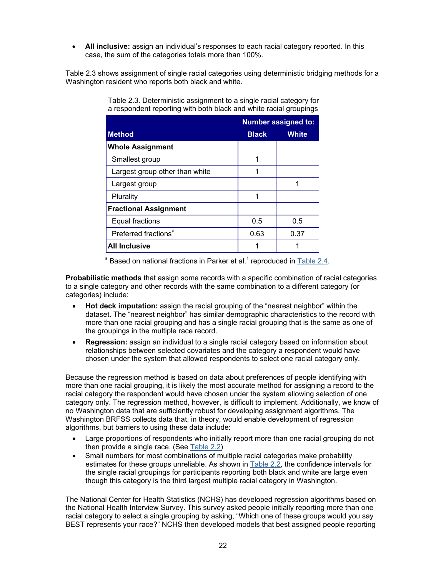<span id="page-21-1"></span><span id="page-21-0"></span>• **All inclusive:** assign an individual's responses to each racial category reported. In this case, the sum of the categories totals more than 100%.

Table 2.3 shows assignment of single racial categories using deterministic bridging methods for a Washington resident who reports both black and white.

|                                  |              | <b>Number assigned to:</b> |
|----------------------------------|--------------|----------------------------|
| <b>Method</b>                    | <b>Black</b> | <b>White</b>               |
| <b>Whole Assignment</b>          |              |                            |
| Smallest group                   | 1            |                            |
| Largest group other than white   | 1            |                            |
| Largest group                    |              |                            |
| Plurality                        |              |                            |
| <b>Fractional Assignment</b>     |              |                            |
| <b>Equal fractions</b>           | 0.5          | 0.5                        |
| Preferred fractions <sup>a</sup> | 0.63         | 0.37                       |
| <b>All Inclusive</b>             |              |                            |

Table 2.3. Deterministic assignment to a single racial category for a respondent reporting with both black and white racial groupings

<sup>a</sup> Based on national fractions in Parker et al.<sup>[1](#page-22-1)</sup> reproduced in Table 2.4.

**Probabilistic methods** that assign some records with a specific combination of racial categories to a single category and other records with the same combination to a different category (or categories) include:

- **Hot deck imputation:** assign the racial grouping of the "nearest neighbor" within the dataset. The "nearest neighbor" has similar demographic characteristics to the record with more than one racial grouping and has a single racial grouping that is the same as one of the groupings in the multiple race record.
- **Regression:** assign an individual to a single racial category based on information about relationships between selected covariates and the category a respondent would have chosen under the system that allowed respondents to select one racial category only.

Because the regression method is based on data about preferences of people identifying with more than one racial grouping, it is likely the most accurate method for assigning a record to the racial category the respondent would have chosen under the system allowing selection of one category only. The regression method, however, is difficult to implement. Additionally, we know of no Washington data that are sufficiently robust for developing assignment algorithms. The Washington BRFSS collects data that, in theory, would enable development of regression algorithms, but barriers to using these data include:

- Large proportions of respondents who initially report more than one racial grouping do not then provide a single race. (See [Table 2.2\)](#page-20-0)
- Small numbers for most combinations of multiple racial categories make probability estimates for these groups unreliable. As shown in [Table 2.2,](#page-20-0) the confidence intervals for the single racial groupings for participants reporting both black and white are large even though this category is the third largest multiple racial category in Washington.

The National Center for Health Statistics (NCHS) has developed regression algorithms based on the National Health Interview Survey. This survey asked people initially reporting more than one racial category to select a single grouping by asking, "Which one of these groups would you say BEST represents your race?" NCHS then developed models that best assigned people reporting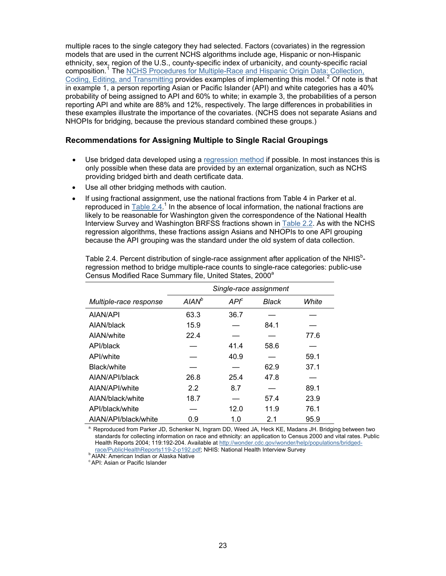<span id="page-22-2"></span><span id="page-22-1"></span><span id="page-22-0"></span>multiple races to the single category they had selected. Factors (covariates) in the regression models that are used in the current NCHS algorithms include age, Hispanic or non-Hispanic ethnicity, sex, region of the U.S., county-specific index of urbanicity, and county-specific racial composition.<sup>[1](#page-28-1)</sup> The NCHS Procedures for Multiple-Race and Hispanic Origin Data: Collection, [Coding, Editing, and Transmitting](http://www.cdc.gov/nchs/data/dvs/Multiple_race_documentation_5-10-04.pdf) provides examples of implementing this model.<sup>[2](#page-28-1)</sup> Of note is that in example 1, a person reporting Asian or Pacific Islander (API) and white categories has a 40% probability of being assigned to API and 60% to white; in example 3, the probabilities of a person reporting API and white are 88% and 12%, respectively. The large differences in probabilities in these examples illustrate the importance of the covariates. (NCHS does not separate Asians and NHOPIs for bridging, because the previous standard combined these groups.)

#### **Recommendations for Assigning Multiple to Single Racial Groupings**

- Use bridged data developed using a [regression method](#page-21-1) if possible. In most instances this is only possible when these data are provided by an external organization, such as NCHS providing bridged birth and death certificate data.
- Use all other bridging methods with caution.
- If using fractional assignment, use the national fractions from Table 4 in Parker et al. reproduced in  $Table 2.4$ <sup>[1](#page-22-1)</sup> In the absence of local information, the national fractions are likely to be reasonable for Washington given the correspondence of the National Health Interview Survey and Washington BRFSS fractions shown in [Table 2.2.](#page-20-0) As with the NCHS regression algorithms, these fractions assign Asians and NHOPIs to one API grouping because the API grouping was the standard under the old system of data collection.

|                        | Single-race assignment |         |       |       |
|------------------------|------------------------|---------|-------|-------|
| Multiple-race response | $AIAN^b$               | $API^c$ | Black | White |
| AIAN/API               | 63.3                   | 36.7    |       |       |
| AIAN/black             | 15.9                   |         | 84.1  |       |
| AIAN/white             | 22.4                   |         |       | 77.6  |
| API/black              |                        | 41.4    | 58.6  |       |
| API/white              |                        | 40.9    |       | 59.1  |
| Black/white            |                        |         | 62.9  | 37.1  |
| AIAN/API/black         | 26.8                   | 25.4    | 47.8  |       |
| AIAN/API/white         | 2.2                    | 8.7     |       | 89.1  |
| AIAN/black/white       | 18.7                   |         | 57.4  | 23.9  |
| API/black/white        |                        | 12.0    | 11.9  | 76.1  |
| AIAN/API/black/white   | 0.9                    | 1.0     | 2.1   | 95.9  |

Table 2.4. Percent distribution of single-race assignment after application of the NHIS<sup>b</sup>regression method to bridge multiple-race counts to single-race categories: public-use Census Modified Race Summary file, United States, 2000<sup>a</sup>

<sup>a.</sup> Reproduced from Parker JD, Schenker N, Ingram DD, Weed JA, Heck KE, Madans JH. Bridging between two standards for collecting information on race and ethnicity: an application to Census 2000 and vital rates. Public Health Reports 2004; 119:192-204. Available at [http://wonder.cdc.gov/wonder/help/populations/bridged-](http://wonder.cdc.gov/wonder/help/populations/bridged-race/PublicHealthReports119-2-p192.pdf)

[race/PublicHealthReports119-2-p192.pdf](http://wonder.cdc.gov/wonder/help/populations/bridged-race/PublicHealthReports119-2-p192.pdf); NHIS: National Health Interview Survey b AIAN: American Indian or Alaska Native

<sup>c</sup> API: Asian or Pacific Islander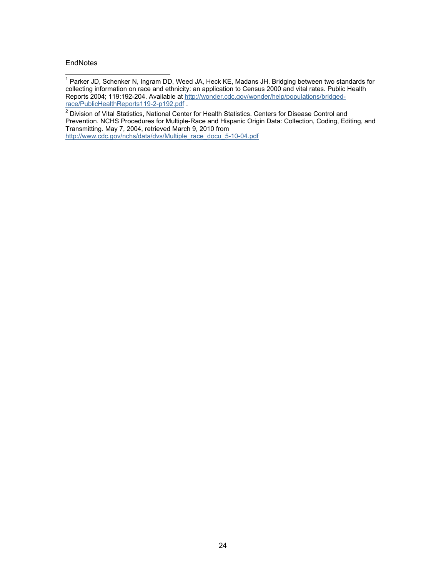**EndNotes** 

<u>[race/PublicHealthReports119-2-p192.pdf](http://wonder.cdc.gov/wonder/help/populations/bridged-race/PublicHealthReports119-2-p192.pdf)</u> .<br><sup>2</sup> Division of Vital Statistics, National Center for Health Statistics. Centers for Disease Control and Prevention. NCHS Procedures for Multiple-Race and Hispanic Origin Data: Collection, Coding, Editing, and Transmitting. May 7, 2004, retrieved March 9, 2010 from [http://www.cdc.gov/nchs/data/dvs/Multiple\\_race\\_docu\\_5-10-04.pdf](http://www.cdc.gov/nchs/data/dvs/Multiple_race_docu_5-10-04.pdf)

 1 Parker JD, Schenker N, Ingram DD, Weed JA, Heck KE, Madans JH. Bridging between two standards for collecting information on race and ethnicity: an application to Census 2000 and vital rates. Public Health Reports 2004; 119:192-204. Available at [http://wonder.cdc.gov/wonder/help/populations/bridged-](http://wonder.cdc.gov/wonder/help/populations/bridged-race/PublicHealthReports119-2-p192.pdf)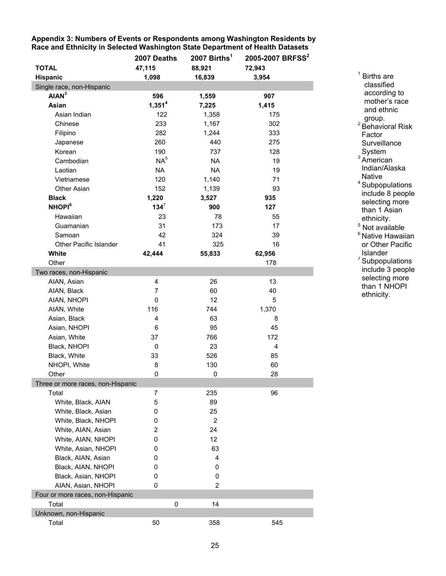<span id="page-24-0"></span>**Appendix 3: Numbers of Events or Respondents among Washington Residents by Race and Ethnicity in Selected Washington State Department of Health Datasets** 

|                                   | 2007 Deaths        | 2007 Births <sup>1</sup> | 2005-2007 BRFSS <sup>2</sup> |
|-----------------------------------|--------------------|--------------------------|------------------------------|
| <b>TOTAL</b>                      | 47,115             | 88,921                   | 72,943                       |
| Hispanic                          | 1,098              | 16,839                   | 3,954                        |
| Single race, non-Hispanic         |                    |                          |                              |
| AIAN <sup>3</sup>                 | 596                | 1,559                    | 907                          |
| Asian                             | 1,351 <sup>4</sup> | 7,225                    | 1,415                        |
| Asian Indian                      | 122                | 1,358                    | 175                          |
| Chinese                           | 233                | 1,167                    | 302                          |
| Filipino                          | 282                | 1,244                    | 333                          |
| Japanese                          | 260                | 440                      | 275                          |
| Korean                            | 190                | 737                      | 128                          |
| Cambodian                         | NA <sup>5</sup>    | <b>NA</b>                | 19                           |
| Laotian                           | <b>NA</b>          | <b>NA</b>                | 19                           |
| Vietnamese                        | 120                | 1,140                    | 71                           |
| Other Asian                       | 152                | 1,139                    | 93                           |
| <b>Black</b>                      | 1,220              | 3,527                    | 935                          |
| <b>NHOPI</b> <sup>6</sup>         | $134^7$            | 900                      | 127                          |
| Hawaiian                          | 23                 | 78                       | 55                           |
| Guamanian                         | 31                 | 173                      | 17                           |
| Samoan                            | 42                 | 324                      | 39                           |
| Other Pacific Islander            | 41                 | 325                      | 16                           |
| White                             | 42,444             | 55,833                   | 62,956                       |
| Other                             |                    |                          | 178                          |
| Two races, non-Hispanic           |                    |                          |                              |
| AIAN, Asian                       | 4                  | 26                       | 13                           |
| AIAN, Black                       | $\overline{7}$     | 60                       | 40                           |
| AIAN, NHOPI                       | 0                  | 12                       | 5                            |
| AIAN, White                       | 116                | 744                      | 1,370                        |
| Asian, Black                      | 4                  | 63                       | 8                            |
| Asian, NHOPI                      | 6                  | 95                       | 45                           |
| Asian, White                      | 37                 | 766                      | 172                          |
| Black, NHOPI                      | 0                  | 23                       | $\overline{4}$               |
| Black, White                      | 33                 | 526                      | 85                           |
| NHOPI, White                      | 8                  | 130                      | 60                           |
| Other                             | 0                  | 0                        | 28                           |
| Three or more races, non-Hispanic |                    |                          |                              |
| Total                             | 7                  | 235                      | 96                           |
| White, Black, AIAN                | 5                  | 89                       |                              |
| White, Black, Asian               | 0                  | 25                       |                              |
| White, Black, NHOPI               | 0                  | $\overline{2}$           |                              |
| White, AIAN, Asian                | $\overline{2}$     | 24                       |                              |
| White, AIAN, NHOPI                | 0                  | 12                       |                              |
| White, Asian, NHOPI               | 0                  | 63                       |                              |
| Black, AIAN, Asian                | 0                  | 4                        |                              |
| Black, AIAN, NHOPI                | 0                  | 0                        |                              |
| Black, Asian, NHOPI               | 0                  | 0                        |                              |
| AIAN, Asian, NHOPI                | 0                  | $\overline{2}$           |                              |
| Four or more races, non-Hispanic  |                    |                          |                              |
| Total                             | 0                  | 14                       |                              |
| Unknown, non-Hispanic             |                    |                          |                              |
| Total                             | 50                 | 358                      | 545                          |

and ethnic<br>group. group.<br><sup>2</sup> Behavioral Risk Factor **Surveillance** System  $3$  American Indian/Alaska Native <sup>4</sup> Subpopulations include 8 people selecting more than 1 Asian ethnicity. <sup>5</sup> Not available <sup>6</sup> Native Hawaiian or Other Pacific Islander <sup>7</sup> Subpopulations include 3 people selecting more than 1 NHOPI

ethnicity.

<sup>1</sup> Births are classified according to mother's race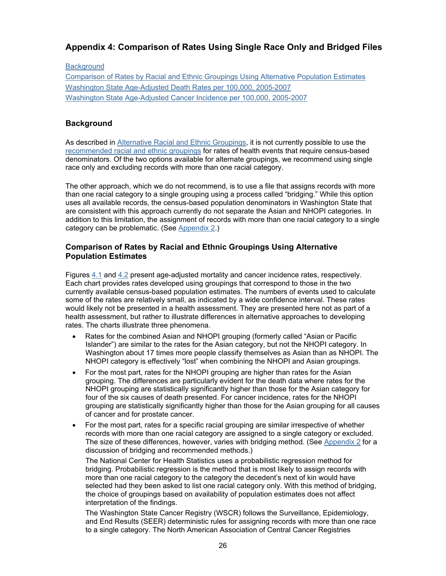# <span id="page-25-0"></span>**Appendix 4: Comparison of Rates Using Single Race Only and Bridged Files**

#### **Background**

Comparison of Rates by Racial and Ethnic Groupings Using Alternative Population Estimates [Washington State Age-Adjusted Death Rates per 100,000, 2005-2007](#page-27-0) [Washington State Age-Adjusted Cancer Incidence per 100,000, 2005-2007](#page-28-3)

## **Background**

As described in [Alternative Racial and Ethnic Groupings,](#page-7-0) it is not currently possible to use the [recommended racial and ethnic groupings](#page-6-0) for rates of health events that require census-based denominators. Of the two options available for alternate groupings, we recommend using single race only and excluding records with more than one racial category.

The other approach, which we do not recommend, is to use a file that assigns records with more than one racial category to a single grouping using a process called "bridging." While this option uses all available records, the census-based population denominators in Washington State that are consistent with this approach currently do not separate the Asian and NHOPI categories. In addition to this limitation, the assignment of records with more than one racial category to a single category can be problematic. (See [Appendix 2](#page-19-0).)

## **Comparison of Rates by Racial and Ethnic Groupings Using Alternative Population Estimates**

Figures [4.1](#page-27-0) and [4.2](#page-28-3) present age-adjusted mortality and cancer incidence rates, respectively. Each chart provides rates developed using groupings that correspond to those in the two currently available census-based population estimates. The numbers of events used to calculate some of the rates are relatively small, as indicated by a wide confidence interval. These rates would likely not be presented in a health assessment. They are presented here not as part of a health assessment, but rather to illustrate differences in alternative approaches to developing rates. The charts illustrate three phenomena.

- Rates for the combined Asian and NHOPI grouping (formerly called "Asian or Pacific Islander") are similar to the rates for the Asian category, but not the NHOPI category. In Washington about 17 times more people classify themselves as Asian than as NHOPI. The NHOPI category is effectively "lost" when combining the NHOPI and Asian groupings.
- For the most part, rates for the NHOPI grouping are higher than rates for the Asian grouping. The differences are particularly evident for the death data where rates for the NHOPI grouping are statistically significantly higher than those for the Asian category for four of the six causes of death presented. For cancer incidence, rates for the NHOPI grouping are statistically significantly higher than those for the Asian grouping for all causes of cancer and for prostate cancer.
- For the most part, rates for a specific racial grouping are similar irrespective of whether records with more than one racial category are assigned to a single category or excluded. The size of these differences, however, varies with bridging method. (See [Appendix 2](#page-19-0) for a discussion of bridging and recommended methods.)

The National Center for Health Statistics uses a probabilistic regression method for bridging. Probabilistic regression is the method that is most likely to assign records with more than one racial category to the category the decedent's next of kin would have selected had they been asked to list one racial category only. With this method of bridging, the choice of groupings based on availability of population estimates does not affect interpretation of the findings.

The Washington State Cancer Registry (WSCR) follows the Surveillance, Epidemiology, and End Results (SEER) deterministic rules for assigning records with more than one race to a single category. The North American Association of Central Cancer Registries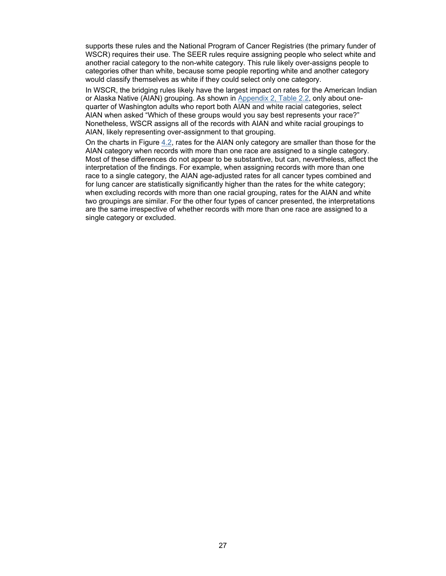supports these rules and the National Program of Cancer Registries (the primary funder of WSCR) requires their use. The SEER rules require assigning people who select white and another racial category to the non-white category. This rule likely over-assigns people to categories other than white, because some people reporting white and another category would classify themselves as white if they could select only one category.

In WSCR, the bridging rules likely have the largest impact on rates for the American Indian or Alaska Native (AIAN) grouping. As shown in [Appendix 2, Table 2.2](#page-20-0), only about onequarter of Washington adults who report both AIAN and white racial categories, select AIAN when asked "Which of these groups would you say best represents your race?" Nonetheless, WSCR assigns all of the records with AIAN and white racial groupings to AIAN, likely representing over-assignment to that grouping.

On the charts in Figure [4.2,](#page-28-3) rates for the AIAN only category are smaller than those for the AIAN category when records with more than one race are assigned to a single category. Most of these differences do not appear to be substantive, but can, nevertheless, affect the interpretation of the findings. For example, when assigning records with more than one race to a single category, the AIAN age-adjusted rates for all cancer types combined and for lung cancer are statistically significantly higher than the rates for the white category; when excluding records with more than one racial grouping, rates for the AIAN and white two groupings are similar. For the other four types of cancer presented, the interpretations are the same irrespective of whether records with more than one race are assigned to a single category or excluded.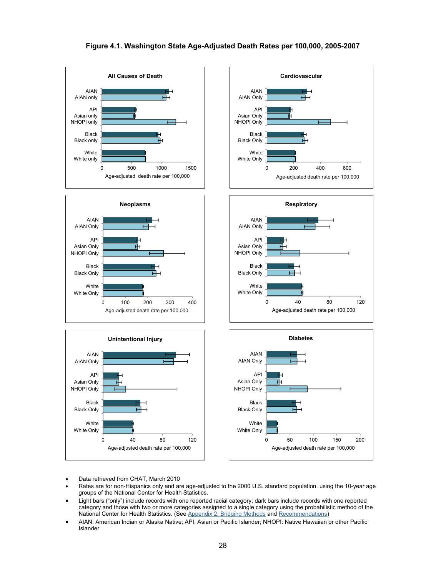#### **Figure 4.1. Washington State Age-Adjusted Death Rates per 100,000, 2005-2007**

<span id="page-27-0"></span>

**Neoplasms**













White Only **White** 

Black Only Black

NHOPI Only Asian Only API

AIAN Only AIAN

0 100 200 300 400

Age-adjusted death rate per 100,000



- Data retrieved from CHAT, March 2010
- Rates are for non-Hispanics only and are age-adjusted to the 2000 U.S. standard population. using the 10-year age groups of the National Center for Health Statistics.
- Light bars ("only") include records with one reported racial category; dark bars include records with one reported category and those with two or more categories assigned to a single category using the probabilistic method of the National Center for Health Statistics. (See [Appendix 2, Bridging Methods](#page-20-1) and [Recommendations](#page-22-0))
- AIAN: American Indian or Alaska Native; API: Asian or Pacific Islander; NHOPI: Native Hawaiian or other Pacific Islander